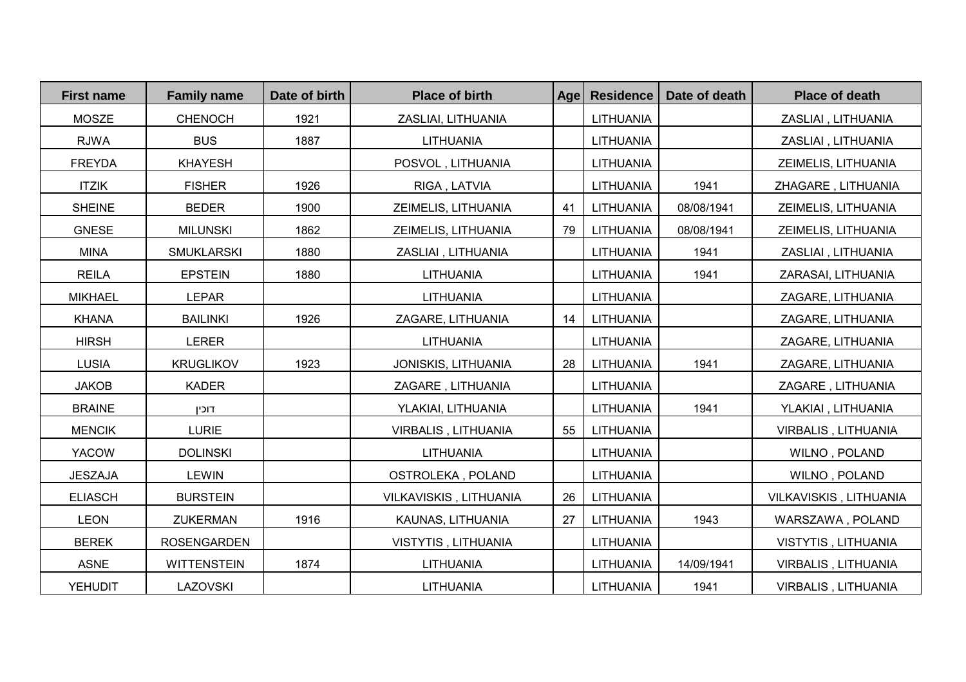| <b>First name</b> | <b>Family name</b> | Date of birth | <b>Place of birth</b>  | Age | <b>Residence</b> | Date of death | <b>Place of death</b>      |
|-------------------|--------------------|---------------|------------------------|-----|------------------|---------------|----------------------------|
| <b>MOSZE</b>      | <b>CHENOCH</b>     | 1921          | ZASLIAI, LITHUANIA     |     | LITHUANIA        |               | ZASLIAI, LITHUANIA         |
| <b>RJWA</b>       | <b>BUS</b>         | 1887          | <b>LITHUANIA</b>       |     | LITHUANIA        |               | ZASLIAI, LITHUANIA         |
| <b>FREYDA</b>     | <b>KHAYESH</b>     |               | POSVOL, LITHUANIA      |     | LITHUANIA        |               | ZEIMELIS, LITHUANIA        |
| <b>ITZIK</b>      | <b>FISHER</b>      | 1926          | RIGA, LATVIA           |     | LITHUANIA        | 1941          | ZHAGARE, LITHUANIA         |
| <b>SHEINE</b>     | <b>BEDER</b>       | 1900          | ZEIMELIS, LITHUANIA    | 41  | LITHUANIA        | 08/08/1941    | ZEIMELIS, LITHUANIA        |
| <b>GNESE</b>      | <b>MILUNSKI</b>    | 1862          | ZEIMELIS, LITHUANIA    | 79  | LITHUANIA        | 08/08/1941    | ZEIMELIS, LITHUANIA        |
| <b>MINA</b>       | <b>SMUKLARSKI</b>  | 1880          | ZASLIAI, LITHUANIA     |     | LITHUANIA        | 1941          | ZASLIAI, LITHUANIA         |
| <b>REILA</b>      | <b>EPSTEIN</b>     | 1880          | LITHUANIA              |     | LITHUANIA        | 1941          | ZARASAI, LITHUANIA         |
| <b>MIKHAEL</b>    | <b>LEPAR</b>       |               | LITHUANIA              |     | LITHUANIA        |               | ZAGARE, LITHUANIA          |
| <b>KHANA</b>      | <b>BAILINKI</b>    | 1926          | ZAGARE, LITHUANIA      | 14  | LITHUANIA        |               | ZAGARE, LITHUANIA          |
| <b>HIRSH</b>      | <b>LERER</b>       |               | LITHUANIA              |     | LITHUANIA        |               | ZAGARE, LITHUANIA          |
| <b>LUSIA</b>      | <b>KRUGLIKOV</b>   | 1923          | JONISKIS, LITHUANIA    | 28  | LITHUANIA        | 1941          | ZAGARE, LITHUANIA          |
| <b>JAKOB</b>      | <b>KADER</b>       |               | ZAGARE, LITHUANIA      |     | LITHUANIA        |               | ZAGARE, LITHUANIA          |
| <b>BRAINE</b>     | דוכין              |               | YLAKIAI, LITHUANIA     |     | LITHUANIA        | 1941          | YLAKIAI, LITHUANIA         |
| <b>MENCIK</b>     | <b>LURIE</b>       |               | VIRBALIS, LITHUANIA    | 55  | LITHUANIA        |               | VIRBALIS, LITHUANIA        |
| <b>YACOW</b>      | <b>DOLINSKI</b>    |               | LITHUANIA              |     | <b>LITHUANIA</b> |               | WILNO, POLAND              |
| <b>JESZAJA</b>    | <b>LEWIN</b>       |               | OSTROLEKA, POLAND      |     | <b>LITHUANIA</b> |               | WILNO, POLAND              |
| <b>ELIASCH</b>    | <b>BURSTEIN</b>    |               | VILKAVISKIS, LITHUANIA | 26  | LITHUANIA        |               | VILKAVISKIS, LITHUANIA     |
| <b>LEON</b>       | <b>ZUKERMAN</b>    | 1916          | KAUNAS, LITHUANIA      | 27  | LITHUANIA        | 1943          | WARSZAWA, POLAND           |
| <b>BEREK</b>      | <b>ROSENGARDEN</b> |               | VISTYTIS, LITHUANIA    |     | <b>LITHUANIA</b> |               | VISTYTIS, LITHUANIA        |
| <b>ASNE</b>       | <b>WITTENSTEIN</b> | 1874          | LITHUANIA              |     | LITHUANIA        | 14/09/1941    | VIRBALIS, LITHUANIA        |
| YEHUDIT           | <b>LAZOVSKI</b>    |               | LITHUANIA              |     | LITHUANIA        | 1941          | <b>VIRBALIS, LITHUANIA</b> |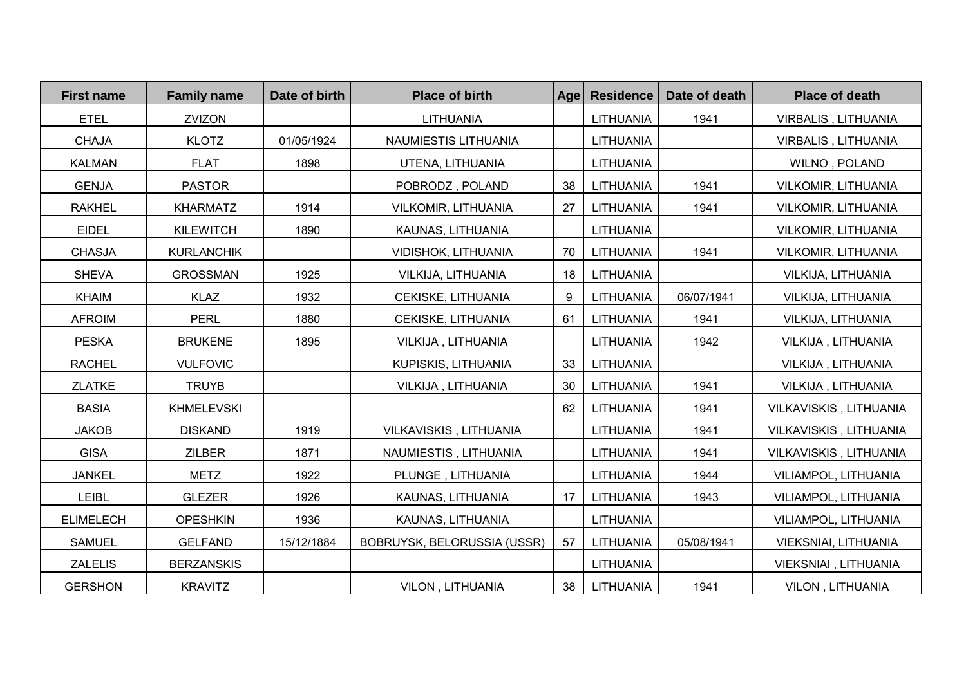| <b>First name</b> | <b>Family name</b> | Date of birth | <b>Place of birth</b>       | <b>Age</b> | <b>Residence</b> | Date of death | <b>Place of death</b>      |
|-------------------|--------------------|---------------|-----------------------------|------------|------------------|---------------|----------------------------|
| <b>ETEL</b>       | ZVIZON             |               | LITHUANIA                   |            | <b>LITHUANIA</b> | 1941          | VIRBALIS, LITHUANIA        |
| <b>CHAJA</b>      | <b>KLOTZ</b>       | 01/05/1924    | NAUMIESTIS LITHUANIA        |            | <b>LITHUANIA</b> |               | VIRBALIS, LITHUANIA        |
| <b>KALMAN</b>     | <b>FLAT</b>        | 1898          | UTENA, LITHUANIA            |            | LITHUANIA        |               | WILNO, POLAND              |
| <b>GENJA</b>      | <b>PASTOR</b>      |               | POBRODZ, POLAND             | 38         | LITHUANIA        | 1941          | VILKOMIR, LITHUANIA        |
| <b>RAKHEL</b>     | <b>KHARMATZ</b>    | 1914          | <b>VILKOMIR, LITHUANIA</b>  | 27         | LITHUANIA        | 1941          | <b>VILKOMIR, LITHUANIA</b> |
| <b>EIDEL</b>      | <b>KILEWITCH</b>   | 1890          | KAUNAS, LITHUANIA           |            | LITHUANIA        |               | <b>VILKOMIR, LITHUANIA</b> |
| <b>CHASJA</b>     | <b>KURLANCHIK</b>  |               | VIDISHOK, LITHUANIA         | 70         | LITHUANIA        | 1941          | <b>VILKOMIR, LITHUANIA</b> |
| <b>SHEVA</b>      | <b>GROSSMAN</b>    | 1925          | VILKIJA, LITHUANIA          | 18         | LITHUANIA        |               | VILKIJA, LITHUANIA         |
| <b>KHAIM</b>      | <b>KLAZ</b>        | 1932          | CEKISKE, LITHUANIA          | 9          | LITHUANIA        | 06/07/1941    | VILKIJA, LITHUANIA         |
| <b>AFROIM</b>     | <b>PERL</b>        | 1880          | CEKISKE, LITHUANIA          | 61         | LITHUANIA        | 1941          | VILKIJA, LITHUANIA         |
| <b>PESKA</b>      | <b>BRUKENE</b>     | 1895          | VILKIJA, LITHUANIA          |            | LITHUANIA        | 1942          | VILKIJA, LITHUANIA         |
| <b>RACHEL</b>     | <b>VULFOVIC</b>    |               | KUPISKIS, LITHUANIA         | 33         | LITHUANIA        |               | VILKIJA, LITHUANIA         |
| <b>ZLATKE</b>     | <b>TRUYB</b>       |               | VILKIJA, LITHUANIA          | 30         | <b>LITHUANIA</b> | 1941          | VILKIJA, LITHUANIA         |
| <b>BASIA</b>      | <b>KHMELEVSKI</b>  |               |                             | 62         | LITHUANIA        | 1941          | VILKAVISKIS, LITHUANIA     |
| <b>JAKOB</b>      | <b>DISKAND</b>     | 1919          | VILKAVISKIS, LITHUANIA      |            | LITHUANIA        | 1941          | VILKAVISKIS, LITHUANIA     |
| <b>GISA</b>       | <b>ZILBER</b>      | 1871          | NAUMIESTIS, LITHUANIA       |            | LITHUANIA        | 1941          | VILKAVISKIS, LITHUANIA     |
| <b>JANKEL</b>     | <b>METZ</b>        | 1922          | PLUNGE, LITHUANIA           |            | LITHUANIA        | 1944          | VILIAMPOL, LITHUANIA       |
| LEIBL             | <b>GLEZER</b>      | 1926          | KAUNAS, LITHUANIA           | 17         | LITHUANIA        | 1943          | VILIAMPOL, LITHUANIA       |
| <b>ELIMELECH</b>  | <b>OPESHKIN</b>    | 1936          | KAUNAS, LITHUANIA           |            | <b>LITHUANIA</b> |               | VILIAMPOL, LITHUANIA       |
| <b>SAMUEL</b>     | <b>GELFAND</b>     | 15/12/1884    | BOBRUYSK, BELORUSSIA (USSR) | 57         | LITHUANIA        | 05/08/1941    | VIEKSNIAI, LITHUANIA       |
| <b>ZALELIS</b>    | <b>BERZANSKIS</b>  |               |                             |            | LITHUANIA        |               | VIEKSNIAI, LITHUANIA       |
| <b>GERSHON</b>    | <b>KRAVITZ</b>     |               | VILON, LITHUANIA            | 38         | LITHUANIA        | 1941          | VILON, LITHUANIA           |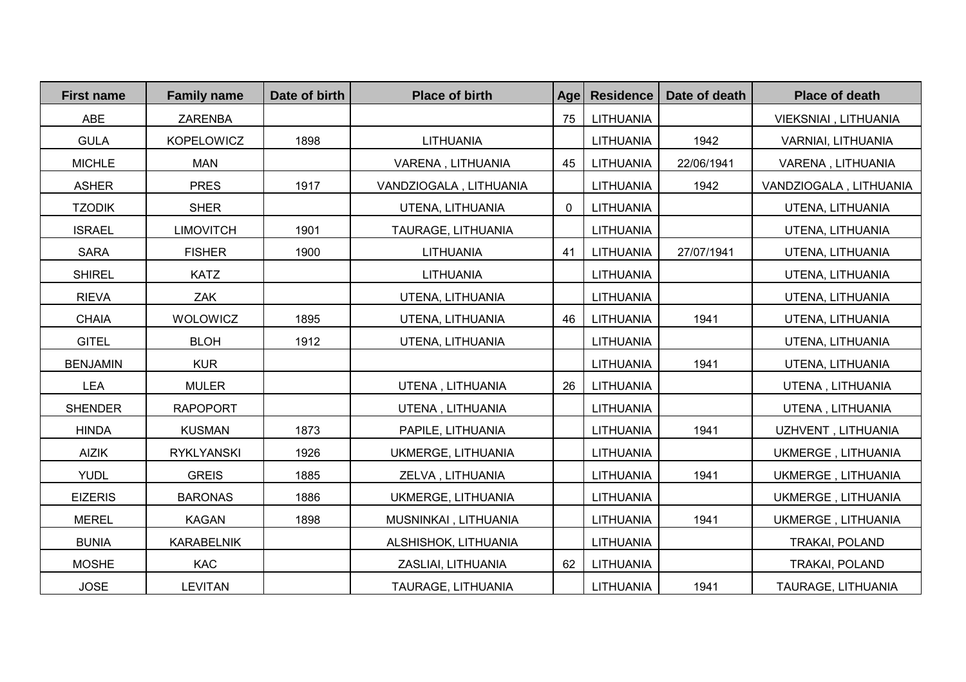| <b>First name</b> | <b>Family name</b> | Date of birth | <b>Place of birth</b>  | Age            | <b>Residence</b> | Date of death | <b>Place of death</b>     |
|-------------------|--------------------|---------------|------------------------|----------------|------------------|---------------|---------------------------|
| <b>ABE</b>        | <b>ZARENBA</b>     |               |                        | 75             | LITHUANIA        |               | VIEKSNIAI, LITHUANIA      |
| <b>GULA</b>       | KOPELOWICZ         | 1898          | LITHUANIA              |                | LITHUANIA        | 1942          | VARNIAI, LITHUANIA        |
| <b>MICHLE</b>     | <b>MAN</b>         |               | VARENA, LITHUANIA      | 45             | LITHUANIA        | 22/06/1941    | VARENA, LITHUANIA         |
| <b>ASHER</b>      | <b>PRES</b>        | 1917          | VANDZIOGALA, LITHUANIA |                | LITHUANIA        | 1942          | VANDZIOGALA, LITHUANIA    |
| <b>TZODIK</b>     | <b>SHER</b>        |               | UTENA, LITHUANIA       | $\overline{0}$ | LITHUANIA        |               | UTENA, LITHUANIA          |
| <b>ISRAEL</b>     | <b>LIMOVITCH</b>   | 1901          | TAURAGE, LITHUANIA     |                | LITHUANIA        |               | UTENA, LITHUANIA          |
| <b>SARA</b>       | <b>FISHER</b>      | 1900          | LITHUANIA              | 41             | LITHUANIA        | 27/07/1941    | UTENA, LITHUANIA          |
| <b>SHIREL</b>     | <b>KATZ</b>        |               | LITHUANIA              |                | LITHUANIA        |               | UTENA, LITHUANIA          |
| <b>RIEVA</b>      | ZAK                |               | UTENA, LITHUANIA       |                | LITHUANIA        |               | UTENA, LITHUANIA          |
| <b>CHAIA</b>      | <b>WOLOWICZ</b>    | 1895          | UTENA, LITHUANIA       | 46             | LITHUANIA        | 1941          | UTENA, LITHUANIA          |
| <b>GITEL</b>      | <b>BLOH</b>        | 1912          | UTENA, LITHUANIA       |                | LITHUANIA        |               | UTENA, LITHUANIA          |
| <b>BENJAMIN</b>   | <b>KUR</b>         |               |                        |                | LITHUANIA        | 1941          | UTENA, LITHUANIA          |
| <b>LEA</b>        | <b>MULER</b>       |               | UTENA, LITHUANIA       | 26             | LITHUANIA        |               | UTENA, LITHUANIA          |
| <b>SHENDER</b>    | <b>RAPOPORT</b>    |               | UTENA, LITHUANIA       |                | LITHUANIA        |               | UTENA, LITHUANIA          |
| <b>HINDA</b>      | <b>KUSMAN</b>      | 1873          | PAPILE, LITHUANIA      |                | LITHUANIA        | 1941          | UZHVENT, LITHUANIA        |
| <b>AIZIK</b>      | <b>RYKLYANSKI</b>  | 1926          | UKMERGE, LITHUANIA     |                | LITHUANIA        |               | UKMERGE, LITHUANIA        |
| <b>YUDL</b>       | <b>GREIS</b>       | 1885          | ZELVA, LITHUANIA       |                | LITHUANIA        | 1941          | UKMERGE, LITHUANIA        |
| <b>EIZERIS</b>    | <b>BARONAS</b>     | 1886          | UKMERGE, LITHUANIA     |                | LITHUANIA        |               | <b>UKMERGE, LITHUANIA</b> |
| <b>MEREL</b>      | <b>KAGAN</b>       | 1898          | MUSNINKAI, LITHUANIA   |                | LITHUANIA        | 1941          | UKMERGE, LITHUANIA        |
| <b>BUNIA</b>      | <b>KARABELNIK</b>  |               | ALSHISHOK, LITHUANIA   |                | LITHUANIA        |               | TRAKAI, POLAND            |
| <b>MOSHE</b>      | <b>KAC</b>         |               | ZASLIAI, LITHUANIA     | 62             | LITHUANIA        |               | TRAKAI, POLAND            |
| <b>JOSE</b>       | <b>LEVITAN</b>     |               | TAURAGE, LITHUANIA     |                | LITHUANIA        | 1941          | TAURAGE, LITHUANIA        |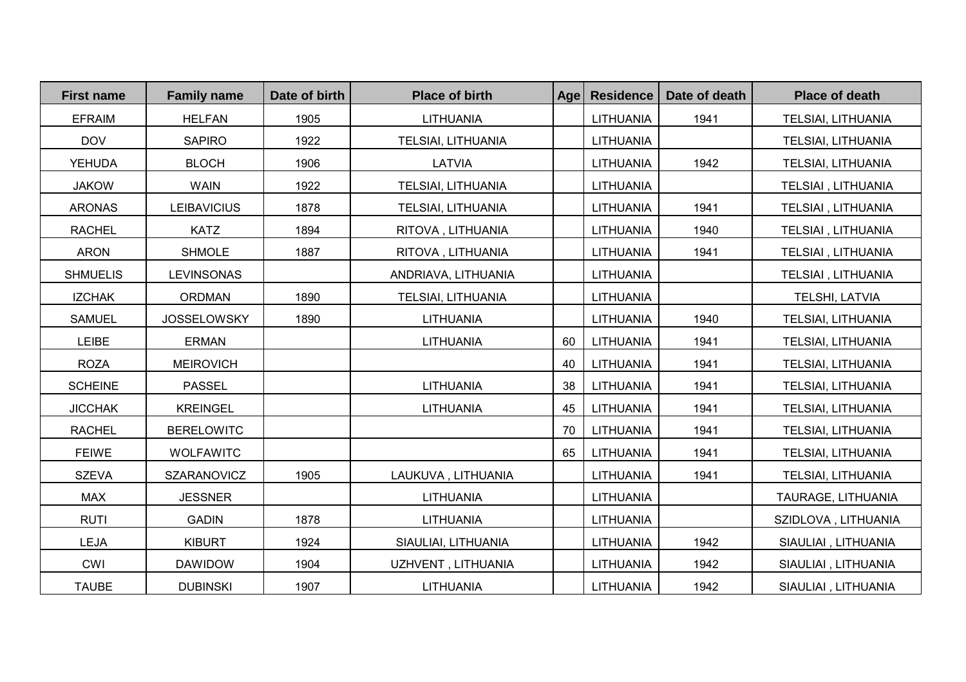| <b>First name</b> | <b>Family name</b> | Date of birth | <b>Place of birth</b> | Age | <b>Residence</b> | Date of death | <b>Place of death</b> |
|-------------------|--------------------|---------------|-----------------------|-----|------------------|---------------|-----------------------|
| <b>EFRAIM</b>     | <b>HELFAN</b>      | 1905          | LITHUANIA             |     | LITHUANIA        | 1941          | TELSIAI, LITHUANIA    |
| <b>DOV</b>        | <b>SAPIRO</b>      | 1922          | TELSIAI, LITHUANIA    |     | LITHUANIA        |               | TELSIAI, LITHUANIA    |
| <b>YEHUDA</b>     | <b>BLOCH</b>       | 1906          | <b>LATVIA</b>         |     | LITHUANIA        | 1942          | TELSIAI, LITHUANIA    |
| <b>JAKOW</b>      | <b>WAIN</b>        | 1922          | TELSIAI, LITHUANIA    |     | LITHUANIA        |               | TELSIAI, LITHUANIA    |
| <b>ARONAS</b>     | <b>LEIBAVICIUS</b> | 1878          | TELSIAI, LITHUANIA    |     | LITHUANIA        | 1941          | TELSIAI, LITHUANIA    |
| <b>RACHEL</b>     | <b>KATZ</b>        | 1894          | RITOVA, LITHUANIA     |     | LITHUANIA        | 1940          | TELSIAI, LITHUANIA    |
| <b>ARON</b>       | <b>SHMOLE</b>      | 1887          | RITOVA, LITHUANIA     |     | LITHUANIA        | 1941          | TELSIAI, LITHUANIA    |
| <b>SHMUELIS</b>   | <b>LEVINSONAS</b>  |               | ANDRIAVA, LITHUANIA   |     | LITHUANIA        |               | TELSIAI, LITHUANIA    |
| <b>IZCHAK</b>     | <b>ORDMAN</b>      | 1890          | TELSIAI, LITHUANIA    |     | LITHUANIA        |               | TELSHI, LATVIA        |
| <b>SAMUEL</b>     | <b>JOSSELOWSKY</b> | 1890          | LITHUANIA             |     | LITHUANIA        | 1940          | TELSIAI, LITHUANIA    |
| <b>LEIBE</b>      | <b>ERMAN</b>       |               | <b>LITHUANIA</b>      | 60  | LITHUANIA        | 1941          | TELSIAI, LITHUANIA    |
| <b>ROZA</b>       | <b>MEIROVICH</b>   |               |                       | 40  | LITHUANIA        | 1941          | TELSIAI, LITHUANIA    |
| <b>SCHEINE</b>    | <b>PASSEL</b>      |               | LITHUANIA             | 38  | LITHUANIA        | 1941          | TELSIAI, LITHUANIA    |
| <b>JICCHAK</b>    | <b>KREINGEL</b>    |               | LITHUANIA             | 45  | LITHUANIA        | 1941          | TELSIAI, LITHUANIA    |
| <b>RACHEL</b>     | <b>BERELOWITC</b>  |               |                       | 70  | LITHUANIA        | 1941          | TELSIAI, LITHUANIA    |
| <b>FEIWE</b>      | <b>WOLFAWITC</b>   |               |                       | 65  | LITHUANIA        | 1941          | TELSIAI, LITHUANIA    |
| <b>SZEVA</b>      | <b>SZARANOVICZ</b> | 1905          | LAUKUVA, LITHUANIA    |     | LITHUANIA        | 1941          | TELSIAI, LITHUANIA    |
| <b>MAX</b>        | <b>JESSNER</b>     |               | LITHUANIA             |     | <b>LITHUANIA</b> |               | TAURAGE, LITHUANIA    |
| <b>RUTI</b>       | <b>GADIN</b>       | 1878          | LITHUANIA             |     | LITHUANIA        |               | SZIDLOVA, LITHUANIA   |
| <b>LEJA</b>       | <b>KIBURT</b>      | 1924          | SIAULIAI, LITHUANIA   |     | LITHUANIA        | 1942          | SIAULIAI, LITHUANIA   |
| <b>CWI</b>        | <b>DAWIDOW</b>     | 1904          | UZHVENT, LITHUANIA    |     | LITHUANIA        | 1942          | SIAULIAI, LITHUANIA   |
| <b>TAUBE</b>      | <b>DUBINSKI</b>    | 1907          | LITHUANIA             |     | LITHUANIA        | 1942          | SIAULIAI, LITHUANIA   |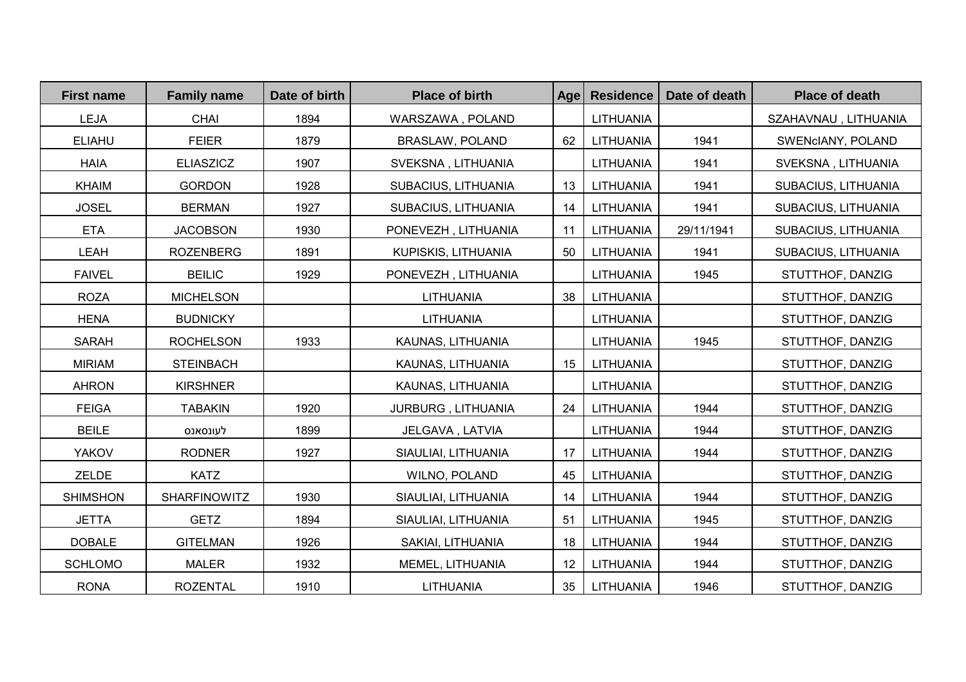| <b>First name</b> | <b>Family name</b>  | Date of birth | <b>Place of birth</b>  | Age | <b>Residence</b> | Date of death | <b>Place of death</b> |
|-------------------|---------------------|---------------|------------------------|-----|------------------|---------------|-----------------------|
| LEJA              | CHAI                | 1894          | WARSZAWA, POLAND       |     | LITHUANIA        |               | SZAHAVNAU, LITHUANIA  |
| <b>ELIAHU</b>     | <b>FEIER</b>        | 1879          | <b>BRASLAW, POLAND</b> | 62  | LITHUANIA        | 1941          | SWENCIANY, POLAND     |
| <b>HAIA</b>       | <b>ELIASZICZ</b>    | 1907          | SVEKSNA, LITHUANIA     |     | LITHUANIA        | 1941          | SVEKSNA, LITHUANIA    |
| <b>KHAIM</b>      | <b>GORDON</b>       | 1928          | SUBACIUS, LITHUANIA    | 13  | LITHUANIA        | 1941          | SUBACIUS, LITHUANIA   |
| <b>JOSEL</b>      | <b>BERMAN</b>       | 1927          | SUBACIUS, LITHUANIA    | 14  | LITHUANIA        | 1941          | SUBACIUS, LITHUANIA   |
| <b>ETA</b>        | <b>JACOBSON</b>     | 1930          | PONEVEZH, LITHUANIA    | 11  | LITHUANIA        | 29/11/1941    | SUBACIUS, LITHUANIA   |
| <b>LEAH</b>       | <b>ROZENBERG</b>    | 1891          | KUPISKIS, LITHUANIA    | 50  | LITHUANIA        | 1941          | SUBACIUS, LITHUANIA   |
| <b>FAIVEL</b>     | <b>BEILIC</b>       | 1929          | PONEVEZH, LITHUANIA    |     | <b>LITHUANIA</b> | 1945          | STUTTHOF, DANZIG      |
| <b>ROZA</b>       | <b>MICHELSON</b>    |               | <b>LITHUANIA</b>       | 38  | LITHUANIA        |               | STUTTHOF, DANZIG      |
| <b>HENA</b>       | <b>BUDNICKY</b>     |               | <b>LITHUANIA</b>       |     | <b>LITHUANIA</b> |               | STUTTHOF, DANZIG      |
| <b>SARAH</b>      | <b>ROCHELSON</b>    | 1933          | KAUNAS, LITHUANIA      |     | LITHUANIA        | 1945          | STUTTHOF, DANZIG      |
| <b>MIRIAM</b>     | <b>STEINBACH</b>    |               | KAUNAS, LITHUANIA      | 15  | LITHUANIA        |               | STUTTHOF, DANZIG      |
| <b>AHRON</b>      | <b>KIRSHNER</b>     |               | KAUNAS, LITHUANIA      |     | LITHUANIA        |               | STUTTHOF, DANZIG      |
| <b>FEIGA</b>      | <b>TABAKIN</b>      | 1920          | JURBURG, LITHUANIA     | 24  | LITHUANIA        | 1944          | STUTTHOF, DANZIG      |
| <b>BEILE</b>      | לעונסאנס            | 1899          | JELGAVA, LATVIA        |     | LITHUANIA        | 1944          | STUTTHOF, DANZIG      |
| <b>YAKOV</b>      | <b>RODNER</b>       | 1927          | SIAULIAI, LITHUANIA    | 17  | <b>LITHUANIA</b> | 1944          | STUTTHOF, DANZIG      |
| ZELDE             | <b>KATZ</b>         |               | WILNO, POLAND          | 45  | LITHUANIA        |               | STUTTHOF, DANZIG      |
| <b>SHIMSHON</b>   | <b>SHARFINOWITZ</b> | 1930          | SIAULIAI, LITHUANIA    | 14  | LITHUANIA        | 1944          | STUTTHOF, DANZIG      |
| <b>JETTA</b>      | <b>GETZ</b>         | 1894          | SIAULIAI, LITHUANIA    | 51  | LITHUANIA        | 1945          | STUTTHOF, DANZIG      |
| <b>DOBALE</b>     | <b>GITELMAN</b>     | 1926          | SAKIAI, LITHUANIA      | 18  | LITHUANIA        | 1944          | STUTTHOF, DANZIG      |
| <b>SCHLOMO</b>    | <b>MALER</b>        | 1932          | MEMEL, LITHUANIA       | 12  | <b>LITHUANIA</b> | 1944          | STUTTHOF, DANZIG      |
| <b>RONA</b>       | <b>ROZENTAL</b>     | 1910          | <b>LITHUANIA</b>       | 35  | LITHUANIA        | 1946          | STUTTHOF, DANZIG      |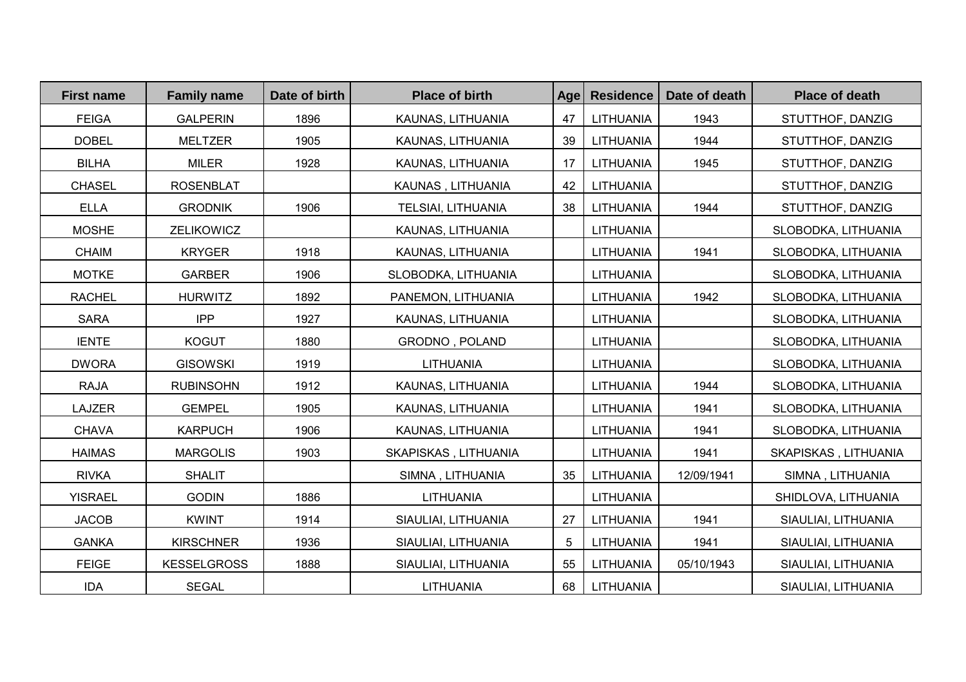| <b>First name</b> | <b>Family name</b> | Date of birth | <b>Place of birth</b> | <b>Age</b> | <b>Residence</b> | Date of death | <b>Place of death</b> |
|-------------------|--------------------|---------------|-----------------------|------------|------------------|---------------|-----------------------|
| <b>FEIGA</b>      | <b>GALPERIN</b>    | 1896          | KAUNAS, LITHUANIA     | 47         | LITHUANIA        | 1943          | STUTTHOF, DANZIG      |
| <b>DOBEL</b>      | <b>MELTZER</b>     | 1905          | KAUNAS, LITHUANIA     | 39         | LITHUANIA        | 1944          | STUTTHOF, DANZIG      |
| <b>BILHA</b>      | <b>MILER</b>       | 1928          | KAUNAS, LITHUANIA     | 17         | LITHUANIA        | 1945          | STUTTHOF, DANZIG      |
| <b>CHASEL</b>     | <b>ROSENBLAT</b>   |               | KAUNAS, LITHUANIA     | 42         | LITHUANIA        |               | STUTTHOF, DANZIG      |
| <b>ELLA</b>       | <b>GRODNIK</b>     | 1906          | TELSIAI, LITHUANIA    | 38         | LITHUANIA        | 1944          | STUTTHOF, DANZIG      |
| <b>MOSHE</b>      | ZELIKOWICZ         |               | KAUNAS, LITHUANIA     |            | LITHUANIA        |               | SLOBODKA, LITHUANIA   |
| <b>CHAIM</b>      | <b>KRYGER</b>      | 1918          | KAUNAS, LITHUANIA     |            | LITHUANIA        | 1941          | SLOBODKA, LITHUANIA   |
| <b>MOTKE</b>      | <b>GARBER</b>      | 1906          | SLOBODKA, LITHUANIA   |            | LITHUANIA        |               | SLOBODKA, LITHUANIA   |
| <b>RACHEL</b>     | <b>HURWITZ</b>     | 1892          | PANEMON, LITHUANIA    |            | LITHUANIA        | 1942          | SLOBODKA, LITHUANIA   |
| <b>SARA</b>       | <b>IPP</b>         | 1927          | KAUNAS, LITHUANIA     |            | LITHUANIA        |               | SLOBODKA, LITHUANIA   |
| <b>IENTE</b>      | <b>KOGUT</b>       | 1880          | GRODNO, POLAND        |            | <b>LITHUANIA</b> |               | SLOBODKA, LITHUANIA   |
| <b>DWORA</b>      | <b>GISOWSKI</b>    | 1919          | LITHUANIA             |            | LITHUANIA        |               | SLOBODKA, LITHUANIA   |
| <b>RAJA</b>       | <b>RUBINSOHN</b>   | 1912          | KAUNAS, LITHUANIA     |            | LITHUANIA        | 1944          | SLOBODKA, LITHUANIA   |
| LAJZER            | <b>GEMPEL</b>      | 1905          | KAUNAS, LITHUANIA     |            | LITHUANIA        | 1941          | SLOBODKA, LITHUANIA   |
| <b>CHAVA</b>      | <b>KARPUCH</b>     | 1906          | KAUNAS, LITHUANIA     |            | <b>LITHUANIA</b> | 1941          | SLOBODKA, LITHUANIA   |
| <b>HAIMAS</b>     | <b>MARGOLIS</b>    | 1903          | SKAPISKAS, LITHUANIA  |            | LITHUANIA        | 1941          | SKAPISKAS, LITHUANIA  |
| <b>RIVKA</b>      | <b>SHALIT</b>      |               | SIMNA, LITHUANIA      | 35         | LITHUANIA        | 12/09/1941    | SIMNA, LITHUANIA      |
| <b>YISRAEL</b>    | <b>GODIN</b>       | 1886          | LITHUANIA             |            | LITHUANIA        |               | SHIDLOVA, LITHUANIA   |
| <b>JACOB</b>      | <b>KWINT</b>       | 1914          | SIAULIAI, LITHUANIA   | 27         | LITHUANIA        | 1941          | SIAULIAI, LITHUANIA   |
| <b>GANKA</b>      | <b>KIRSCHNER</b>   | 1936          | SIAULIAI, LITHUANIA   | 5          | LITHUANIA        | 1941          | SIAULIAI, LITHUANIA   |
| <b>FEIGE</b>      | <b>KESSELGROSS</b> | 1888          | SIAULIAI, LITHUANIA   | 55         | LITHUANIA        | 05/10/1943    | SIAULIAI, LITHUANIA   |
| IDA               | <b>SEGAL</b>       |               | LITHUANIA             | 68         | LITHUANIA        |               | SIAULIAI, LITHUANIA   |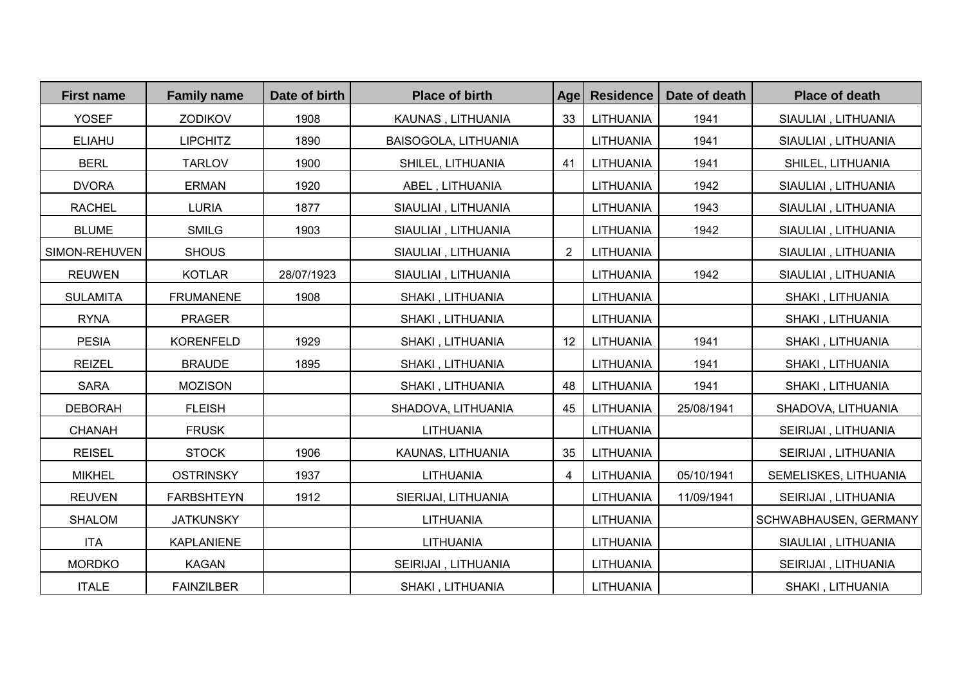| <b>First name</b> | <b>Family name</b> | Date of birth | <b>Place of birth</b> | Age            | <b>Residence</b> | Date of death | <b>Place of death</b> |
|-------------------|--------------------|---------------|-----------------------|----------------|------------------|---------------|-----------------------|
| <b>YOSEF</b>      | <b>ZODIKOV</b>     | 1908          | KAUNAS, LITHUANIA     | 33             | LITHUANIA        | 1941          | SIAULIAI, LITHUANIA   |
| <b>ELIAHU</b>     | <b>LIPCHITZ</b>    | 1890          | BAISOGOLA, LITHUANIA  |                | <b>LITHUANIA</b> | 1941          | SIAULIAI, LITHUANIA   |
| <b>BERL</b>       | <b>TARLOV</b>      | 1900          | SHILEL, LITHUANIA     | 41             | LITHUANIA        | 1941          | SHILEL, LITHUANIA     |
| <b>DVORA</b>      | <b>ERMAN</b>       | 1920          | ABEL, LITHUANIA       |                | LITHUANIA        | 1942          | SIAULIAI, LITHUANIA   |
| <b>RACHEL</b>     | <b>LURIA</b>       | 1877          | SIAULIAI, LITHUANIA   |                | LITHUANIA        | 1943          | SIAULIAI, LITHUANIA   |
| <b>BLUME</b>      | <b>SMILG</b>       | 1903          | SIAULIAI, LITHUANIA   |                | LITHUANIA        | 1942          | SIAULIAI, LITHUANIA   |
| SIMON-REHUVEN     | <b>SHOUS</b>       |               | SIAULIAI, LITHUANIA   | $\overline{2}$ | LITHUANIA        |               | SIAULIAI, LITHUANIA   |
| <b>REUWEN</b>     | <b>KOTLAR</b>      | 28/07/1923    | SIAULIAI, LITHUANIA   |                | LITHUANIA        | 1942          | SIAULIAI, LITHUANIA   |
| <b>SULAMITA</b>   | <b>FRUMANENE</b>   | 1908          | SHAKI, LITHUANIA      |                | LITHUANIA        |               | SHAKI, LITHUANIA      |
| <b>RYNA</b>       | <b>PRAGER</b>      |               | SHAKI, LITHUANIA      |                | LITHUANIA        |               | SHAKI, LITHUANIA      |
| <b>PESIA</b>      | <b>KORENFELD</b>   | 1929          | SHAKI, LITHUANIA      | 12             | LITHUANIA        | 1941          | SHAKI, LITHUANIA      |
| <b>REIZEL</b>     | <b>BRAUDE</b>      | 1895          | SHAKI, LITHUANIA      |                | LITHUANIA        | 1941          | SHAKI, LITHUANIA      |
| <b>SARA</b>       | <b>MOZISON</b>     |               | SHAKI, LITHUANIA      | 48             | LITHUANIA        | 1941          | SHAKI, LITHUANIA      |
| <b>DEBORAH</b>    | <b>FLEISH</b>      |               | SHADOVA, LITHUANIA    | 45             | LITHUANIA        | 25/08/1941    | SHADOVA, LITHUANIA    |
| <b>CHANAH</b>     | <b>FRUSK</b>       |               | LITHUANIA             |                | LITHUANIA        |               | SEIRIJAI, LITHUANIA   |
| <b>REISEL</b>     | <b>STOCK</b>       | 1906          | KAUNAS, LITHUANIA     | 35             | LITHUANIA        |               | SEIRIJAI, LITHUANIA   |
| <b>MIKHEL</b>     | <b>OSTRINSKY</b>   | 1937          | LITHUANIA             | 4              | LITHUANIA        | 05/10/1941    | SEMELISKES, LITHUANIA |
| <b>REUVEN</b>     | <b>FARBSHTEYN</b>  | 1912          | SIERIJAI, LITHUANIA   |                | LITHUANIA        | 11/09/1941    | SEIRIJAI, LITHUANIA   |
| <b>SHALOM</b>     | <b>JATKUNSKY</b>   |               | <b>LITHUANIA</b>      |                | LITHUANIA        |               | SCHWABHAUSEN, GERMANY |
| <b>ITA</b>        | <b>KAPLANIENE</b>  |               | LITHUANIA             |                | LITHUANIA        |               | SIAULIAI, LITHUANIA   |
| <b>MORDKO</b>     | <b>KAGAN</b>       |               | SEIRIJAI, LITHUANIA   |                | <b>LITHUANIA</b> |               | SEIRIJAI, LITHUANIA   |
| <b>ITALE</b>      | <b>FAINZILBER</b>  |               | SHAKI, LITHUANIA      |                | LITHUANIA        |               | SHAKI, LITHUANIA      |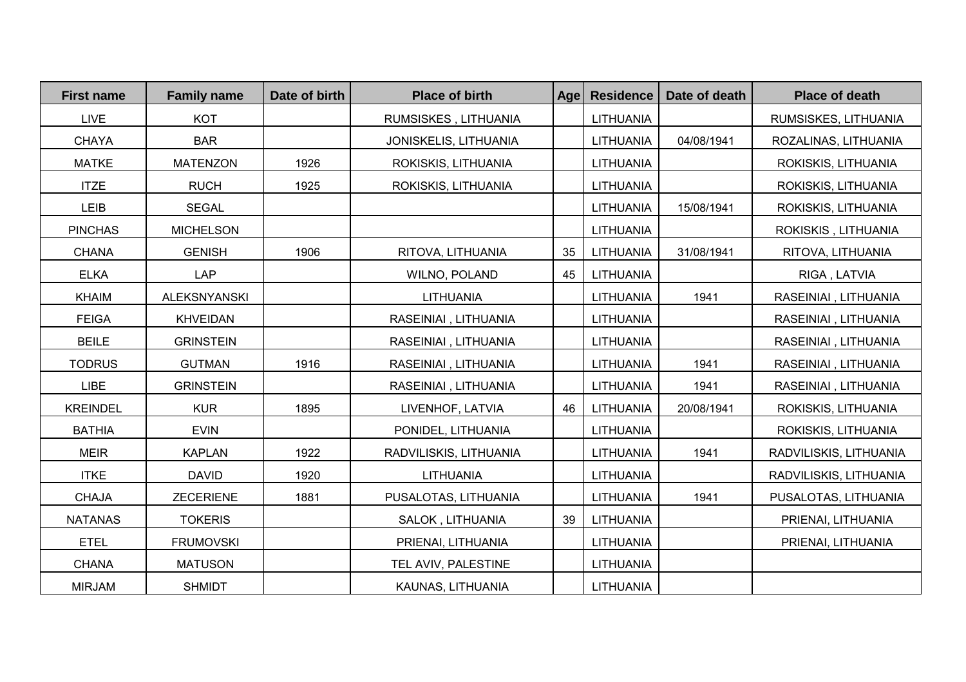| <b>First name</b> | <b>Family name</b>  | Date of birth | <b>Place of birth</b>  | Age | <b>Residence</b> | Date of death | <b>Place of death</b>  |
|-------------------|---------------------|---------------|------------------------|-----|------------------|---------------|------------------------|
| <b>LIVE</b>       | <b>KOT</b>          |               | RUMSISKES, LITHUANIA   |     | LITHUANIA        |               | RUMSISKES, LITHUANIA   |
| <b>CHAYA</b>      | <b>BAR</b>          |               | JONISKELIS, LITHUANIA  |     | LITHUANIA        | 04/08/1941    | ROZALINAS, LITHUANIA   |
| <b>MATKE</b>      | <b>MATENZON</b>     | 1926          | ROKISKIS, LITHUANIA    |     | LITHUANIA        |               | ROKISKIS, LITHUANIA    |
| <b>ITZE</b>       | <b>RUCH</b>         | 1925          | ROKISKIS, LITHUANIA    |     | LITHUANIA        |               | ROKISKIS, LITHUANIA    |
| LEIB              | <b>SEGAL</b>        |               |                        |     | LITHUANIA        | 15/08/1941    | ROKISKIS, LITHUANIA    |
| <b>PINCHAS</b>    | <b>MICHELSON</b>    |               |                        |     | LITHUANIA        |               | ROKISKIS, LITHUANIA    |
| <b>CHANA</b>      | <b>GENISH</b>       | 1906          | RITOVA, LITHUANIA      | 35  | LITHUANIA        | 31/08/1941    | RITOVA, LITHUANIA      |
| <b>ELKA</b>       | <b>LAP</b>          |               | WILNO, POLAND          | 45  | LITHUANIA        |               | RIGA, LATVIA           |
| <b>KHAIM</b>      | <b>ALEKSNYANSKI</b> |               | <b>LITHUANIA</b>       |     | LITHUANIA        | 1941          | RASEINIAI, LITHUANIA   |
| <b>FEIGA</b>      | <b>KHVEIDAN</b>     |               | RASEINIAI, LITHUANIA   |     | LITHUANIA        |               | RASEINIAI, LITHUANIA   |
| <b>BEILE</b>      | <b>GRINSTEIN</b>    |               | RASEINIAI, LITHUANIA   |     | <b>LITHUANIA</b> |               | RASEINIAI, LITHUANIA   |
| <b>TODRUS</b>     | <b>GUTMAN</b>       | 1916          | RASEINIAI, LITHUANIA   |     | LITHUANIA        | 1941          | RASEINIAI, LITHUANIA   |
| LIBE              | <b>GRINSTEIN</b>    |               | RASEINIAI, LITHUANIA   |     | LITHUANIA        | 1941          | RASEINIAI, LITHUANIA   |
| <b>KREINDEL</b>   | <b>KUR</b>          | 1895          | LIVENHOF, LATVIA       | 46  | LITHUANIA        | 20/08/1941    | ROKISKIS, LITHUANIA    |
| <b>BATHIA</b>     | <b>EVIN</b>         |               | PONIDEL, LITHUANIA     |     | <b>LITHUANIA</b> |               | ROKISKIS, LITHUANIA    |
| <b>MEIR</b>       | <b>KAPLAN</b>       | 1922          | RADVILISKIS, LITHUANIA |     | LITHUANIA        | 1941          | RADVILISKIS, LITHUANIA |
| <b>ITKE</b>       | <b>DAVID</b>        | 1920          | <b>LITHUANIA</b>       |     | <b>LITHUANIA</b> |               | RADVILISKIS, LITHUANIA |
| <b>CHAJA</b>      | <b>ZECERIENE</b>    | 1881          | PUSALOTAS, LITHUANIA   |     | LITHUANIA        | 1941          | PUSALOTAS, LITHUANIA   |
| <b>NATANAS</b>    | <b>TOKERIS</b>      |               | SALOK, LITHUANIA       | 39  | LITHUANIA        |               | PRIENAI, LITHUANIA     |
| <b>ETEL</b>       | <b>FRUMOVSKI</b>    |               | PRIENAI, LITHUANIA     |     | LITHUANIA        |               | PRIENAI, LITHUANIA     |
| <b>CHANA</b>      | <b>MATUSON</b>      |               | TEL AVIV, PALESTINE    |     | <b>LITHUANIA</b> |               |                        |
| <b>MIRJAM</b>     | <b>SHMIDT</b>       |               | KAUNAS, LITHUANIA      |     | LITHUANIA        |               |                        |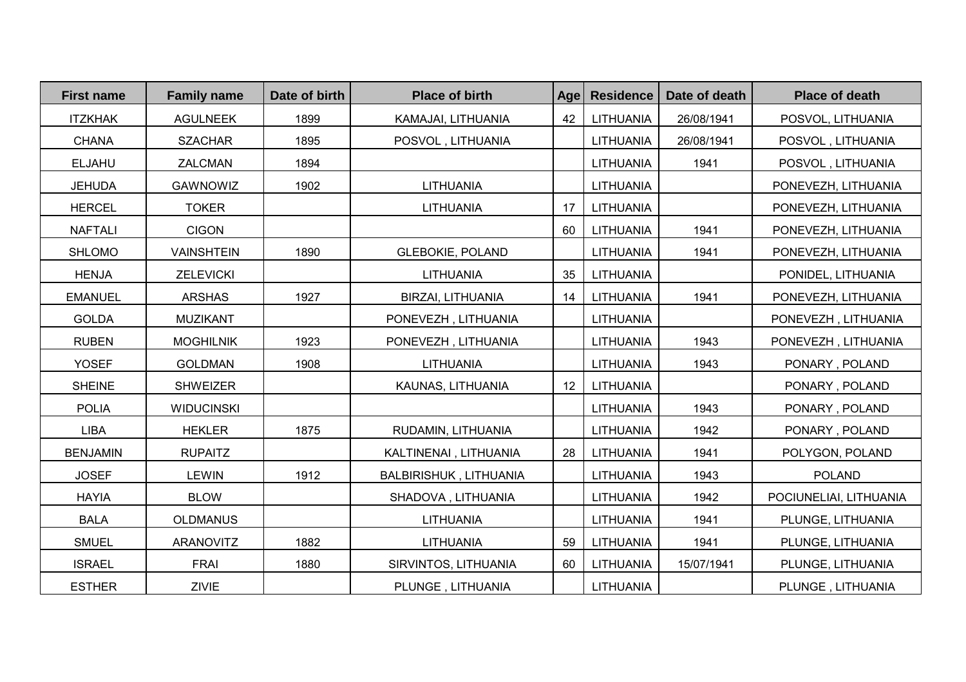| <b>First name</b> | <b>Family name</b> | Date of birth | <b>Place of birth</b>         | Age | <b>Residence</b> | Date of death | <b>Place of death</b>  |
|-------------------|--------------------|---------------|-------------------------------|-----|------------------|---------------|------------------------|
| <b>ITZKHAK</b>    | <b>AGULNEEK</b>    | 1899          | KAMAJAI, LITHUANIA            | 42  | LITHUANIA        | 26/08/1941    | POSVOL, LITHUANIA      |
| <b>CHANA</b>      | <b>SZACHAR</b>     | 1895          | POSVOL, LITHUANIA             |     | LITHUANIA        | 26/08/1941    | POSVOL, LITHUANIA      |
| <b>ELJAHU</b>     | ZALCMAN            | 1894          |                               |     | LITHUANIA        | 1941          | POSVOL, LITHUANIA      |
| <b>JEHUDA</b>     | <b>GAWNOWIZ</b>    | 1902          | LITHUANIA                     |     | LITHUANIA        |               | PONEVEZH, LITHUANIA    |
| <b>HERCEL</b>     | <b>TOKER</b>       |               | LITHUANIA                     | 17  | LITHUANIA        |               | PONEVEZH, LITHUANIA    |
| <b>NAFTALI</b>    | <b>CIGON</b>       |               |                               | 60  | LITHUANIA        | 1941          | PONEVEZH, LITHUANIA    |
| <b>SHLOMO</b>     | <b>VAINSHTEIN</b>  | 1890          | <b>GLEBOKIE, POLAND</b>       |     | LITHUANIA        | 1941          | PONEVEZH, LITHUANIA    |
| <b>HENJA</b>      | <b>ZELEVICKI</b>   |               | LITHUANIA                     | 35  | LITHUANIA        |               | PONIDEL, LITHUANIA     |
| <b>EMANUEL</b>    | <b>ARSHAS</b>      | 1927          | BIRZAI, LITHUANIA             | 14  | LITHUANIA        | 1941          | PONEVEZH, LITHUANIA    |
| <b>GOLDA</b>      | <b>MUZIKANT</b>    |               | PONEVEZH, LITHUANIA           |     | LITHUANIA        |               | PONEVEZH, LITHUANIA    |
| <b>RUBEN</b>      | <b>MOGHILNIK</b>   | 1923          | PONEVEZH, LITHUANIA           |     | LITHUANIA        | 1943          | PONEVEZH, LITHUANIA    |
| <b>YOSEF</b>      | <b>GOLDMAN</b>     | 1908          | <b>LITHUANIA</b>              |     | LITHUANIA        | 1943          | PONARY, POLAND         |
| <b>SHEINE</b>     | <b>SHWEIZER</b>    |               | KAUNAS, LITHUANIA             | 12  | LITHUANIA        |               | PONARY, POLAND         |
| <b>POLIA</b>      | <b>WIDUCINSKI</b>  |               |                               |     | LITHUANIA        | 1943          | PONARY, POLAND         |
| LIBA              | <b>HEKLER</b>      | 1875          | RUDAMIN, LITHUANIA            |     | LITHUANIA        | 1942          | PONARY, POLAND         |
| <b>BENJAMIN</b>   | <b>RUPAITZ</b>     |               | KALTINENAI, LITHUANIA         | 28  | LITHUANIA        | 1941          | POLYGON, POLAND        |
| <b>JOSEF</b>      | LEWIN              | 1912          | <b>BALBIRISHUK, LITHUANIA</b> |     | LITHUANIA        | 1943          | <b>POLAND</b>          |
| <b>HAYIA</b>      | <b>BLOW</b>        |               | SHADOVA, LITHUANIA            |     | LITHUANIA        | 1942          | POCIUNELIAI, LITHUANIA |
| <b>BALA</b>       | <b>OLDMANUS</b>    |               | <b>LITHUANIA</b>              |     | LITHUANIA        | 1941          | PLUNGE, LITHUANIA      |
| <b>SMUEL</b>      | ARANOVITZ          | 1882          | <b>LITHUANIA</b>              | 59  | LITHUANIA        | 1941          | PLUNGE, LITHUANIA      |
| <b>ISRAEL</b>     | <b>FRAI</b>        | 1880          | SIRVINTOS, LITHUANIA          | 60  | LITHUANIA        | 15/07/1941    | PLUNGE, LITHUANIA      |
| <b>ESTHER</b>     | <b>ZIVIE</b>       |               | PLUNGE, LITHUANIA             |     | LITHUANIA        |               | PLUNGE, LITHUANIA      |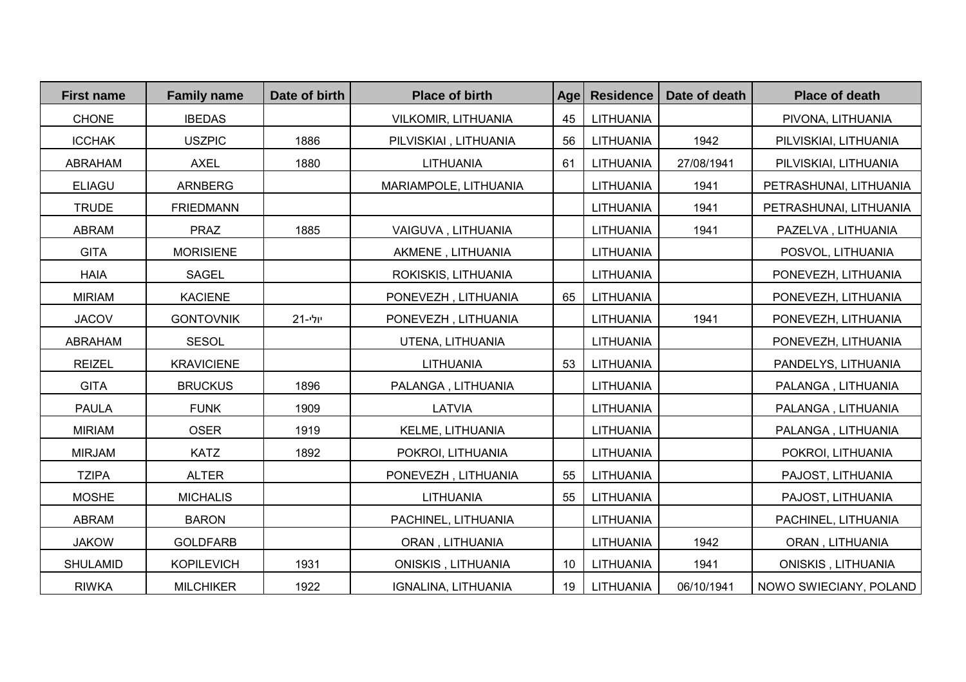| <b>First name</b> | <b>Family name</b> | Date of birth | <b>Place of birth</b> | Age | <b>Residence</b> | Date of death | <b>Place of death</b>  |
|-------------------|--------------------|---------------|-----------------------|-----|------------------|---------------|------------------------|
| <b>CHONE</b>      | <b>IBEDAS</b>      |               | VILKOMIR, LITHUANIA   | 45  | LITHUANIA        |               | PIVONA, LITHUANIA      |
| <b>ICCHAK</b>     | <b>USZPIC</b>      | 1886          | PILVISKIAI, LITHUANIA | 56  | LITHUANIA        | 1942          | PILVISKIAI, LITHUANIA  |
| <b>ABRAHAM</b>    | <b>AXEL</b>        | 1880          | LITHUANIA             | 61  | LITHUANIA        | 27/08/1941    | PILVISKIAI, LITHUANIA  |
| <b>ELIAGU</b>     | ARNBERG            |               | MARIAMPOLE, LITHUANIA |     | LITHUANIA        | 1941          | PETRASHUNAI, LITHUANIA |
| <b>TRUDE</b>      | <b>FRIEDMANN</b>   |               |                       |     | LITHUANIA        | 1941          | PETRASHUNAI, LITHUANIA |
| <b>ABRAM</b>      | <b>PRAZ</b>        | 1885          | VAIGUVA, LITHUANIA    |     | LITHUANIA        | 1941          | PAZELVA, LITHUANIA     |
| <b>GITA</b>       | <b>MORISIENE</b>   |               | AKMENE, LITHUANIA     |     | LITHUANIA        |               | POSVOL, LITHUANIA      |
| <b>HAIA</b>       | <b>SAGEL</b>       |               | ROKISKIS, LITHUANIA   |     | LITHUANIA        |               | PONEVEZH, LITHUANIA    |
| <b>MIRIAM</b>     | <b>KACIENE</b>     |               | PONEVEZH, LITHUANIA   | 65  | LITHUANIA        |               | PONEVEZH, LITHUANIA    |
| <b>JACOV</b>      | <b>GONTOVNIK</b>   | יולי-21       | PONEVEZH, LITHUANIA   |     | LITHUANIA        | 1941          | PONEVEZH, LITHUANIA    |
| ABRAHAM           | <b>SESOL</b>       |               | UTENA, LITHUANIA      |     | LITHUANIA        |               | PONEVEZH, LITHUANIA    |
| <b>REIZEL</b>     | <b>KRAVICIENE</b>  |               | LITHUANIA             | 53  | LITHUANIA        |               | PANDELYS, LITHUANIA    |
| <b>GITA</b>       | <b>BRUCKUS</b>     | 1896          | PALANGA, LITHUANIA    |     | LITHUANIA        |               | PALANGA, LITHUANIA     |
| <b>PAULA</b>      | <b>FUNK</b>        | 1909          | <b>LATVIA</b>         |     | LITHUANIA        |               | PALANGA, LITHUANIA     |
| <b>MIRIAM</b>     | <b>OSER</b>        | 1919          | KELME, LITHUANIA      |     | LITHUANIA        |               | PALANGA, LITHUANIA     |
| <b>MIRJAM</b>     | <b>KATZ</b>        | 1892          | POKROI, LITHUANIA     |     | LITHUANIA        |               | POKROI, LITHUANIA      |
| <b>TZIPA</b>      | <b>ALTER</b>       |               | PONEVEZH, LITHUANIA   | 55  | LITHUANIA        |               | PAJOST, LITHUANIA      |
| <b>MOSHE</b>      | <b>MICHALIS</b>    |               | <b>LITHUANIA</b>      | 55  | LITHUANIA        |               | PAJOST, LITHUANIA      |
| ABRAM             | <b>BARON</b>       |               | PACHINEL, LITHUANIA   |     | LITHUANIA        |               | PACHINEL, LITHUANIA    |
| <b>JAKOW</b>      | <b>GOLDFARB</b>    |               | ORAN, LITHUANIA       |     | LITHUANIA        | 1942          | ORAN, LITHUANIA        |
| <b>SHULAMID</b>   | <b>KOPILEVICH</b>  | 1931          | ONISKIS, LITHUANIA    | 10  | LITHUANIA        | 1941          | ONISKIS, LITHUANIA     |
| <b>RIWKA</b>      | <b>MILCHIKER</b>   | 1922          | IGNALINA, LITHUANIA   | 19  | LITHUANIA        | 06/10/1941    | NOWO SWIECIANY, POLAND |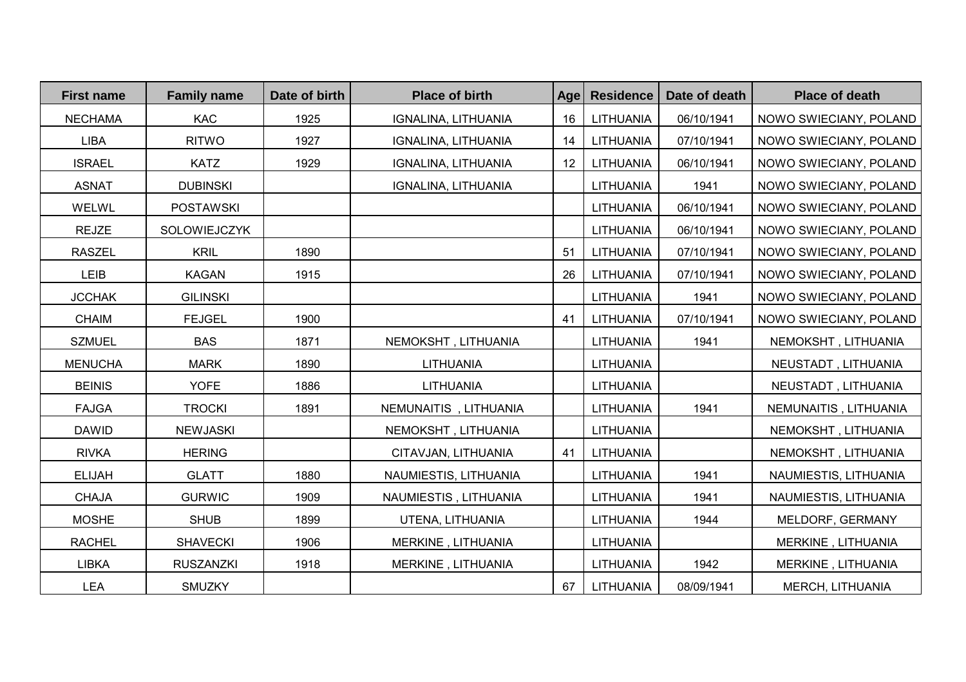| <b>First name</b> | <b>Family name</b> | Date of birth | <b>Place of birth</b> | Age | <b>Residence</b> | Date of death | <b>Place of death</b>  |
|-------------------|--------------------|---------------|-----------------------|-----|------------------|---------------|------------------------|
| <b>NECHAMA</b>    | <b>KAC</b>         | 1925          | IGNALINA, LITHUANIA   | 16  | LITHUANIA        | 06/10/1941    | NOWO SWIECIANY, POLAND |
| <b>LIBA</b>       | <b>RITWO</b>       | 1927          | IGNALINA, LITHUANIA   | 14  | LITHUANIA        | 07/10/1941    | NOWO SWIECIANY, POLAND |
| <b>ISRAEL</b>     | <b>KATZ</b>        | 1929          | IGNALINA, LITHUANIA   | 12  | LITHUANIA        | 06/10/1941    | NOWO SWIECIANY, POLAND |
| <b>ASNAT</b>      | <b>DUBINSKI</b>    |               | IGNALINA, LITHUANIA   |     | <b>LITHUANIA</b> | 1941          | NOWO SWIECIANY, POLAND |
| WELWL             | <b>POSTAWSKI</b>   |               |                       |     | LITHUANIA        | 06/10/1941    | NOWO SWIECIANY, POLAND |
| <b>REJZE</b>      | SOLOWIEJCZYK       |               |                       |     | LITHUANIA        | 06/10/1941    | NOWO SWIECIANY, POLAND |
| <b>RASZEL</b>     | <b>KRIL</b>        | 1890          |                       | 51  | LITHUANIA        | 07/10/1941    | NOWO SWIECIANY, POLAND |
| LEIB              | <b>KAGAN</b>       | 1915          |                       | 26  | LITHUANIA        | 07/10/1941    | NOWO SWIECIANY, POLAND |
| <b>JCCHAK</b>     | <b>GILINSKI</b>    |               |                       |     | LITHUANIA        | 1941          | NOWO SWIECIANY, POLAND |
| <b>CHAIM</b>      | <b>FEJGEL</b>      | 1900          |                       | 41  | LITHUANIA        | 07/10/1941    | NOWO SWIECIANY, POLAND |
| <b>SZMUEL</b>     | <b>BAS</b>         | 1871          | NEMOKSHT, LITHUANIA   |     | LITHUANIA        | 1941          | NEMOKSHT, LITHUANIA    |
| <b>MENUCHA</b>    | <b>MARK</b>        | 1890          | LITHUANIA             |     | LITHUANIA        |               | NEUSTADT, LITHUANIA    |
| <b>BEINIS</b>     | <b>YOFE</b>        | 1886          | LITHUANIA             |     | LITHUANIA        |               | NEUSTADT, LITHUANIA    |
| <b>FAJGA</b>      | <b>TROCKI</b>      | 1891          | NEMUNAITIS, LITHUANIA |     | LITHUANIA        | 1941          | NEMUNAITIS, LITHUANIA  |
| <b>DAWID</b>      | <b>NEWJASKI</b>    |               | NEMOKSHT, LITHUANIA   |     | LITHUANIA        |               | NEMOKSHT, LITHUANIA    |
| <b>RIVKA</b>      | <b>HERING</b>      |               | CITAVJAN, LITHUANIA   | 41  | LITHUANIA        |               | NEMOKSHT, LITHUANIA    |
| <b>ELIJAH</b>     | <b>GLATT</b>       | 1880          | NAUMIESTIS, LITHUANIA |     | LITHUANIA        | 1941          | NAUMIESTIS, LITHUANIA  |
| <b>CHAJA</b>      | <b>GURWIC</b>      | 1909          | NAUMIESTIS, LITHUANIA |     | LITHUANIA        | 1941          | NAUMIESTIS, LITHUANIA  |
| <b>MOSHE</b>      | <b>SHUB</b>        | 1899          | UTENA, LITHUANIA      |     | LITHUANIA        | 1944          | MELDORF, GERMANY       |
| <b>RACHEL</b>     | <b>SHAVECKI</b>    | 1906          | MERKINE, LITHUANIA    |     | LITHUANIA        |               | MERKINE, LITHUANIA     |
| <b>LIBKA</b>      | <b>RUSZANZKI</b>   | 1918          | MERKINE, LITHUANIA    |     | LITHUANIA        | 1942          | MERKINE, LITHUANIA     |
| LEA               | <b>SMUZKY</b>      |               |                       | 67  | LITHUANIA        | 08/09/1941    | MERCH, LITHUANIA       |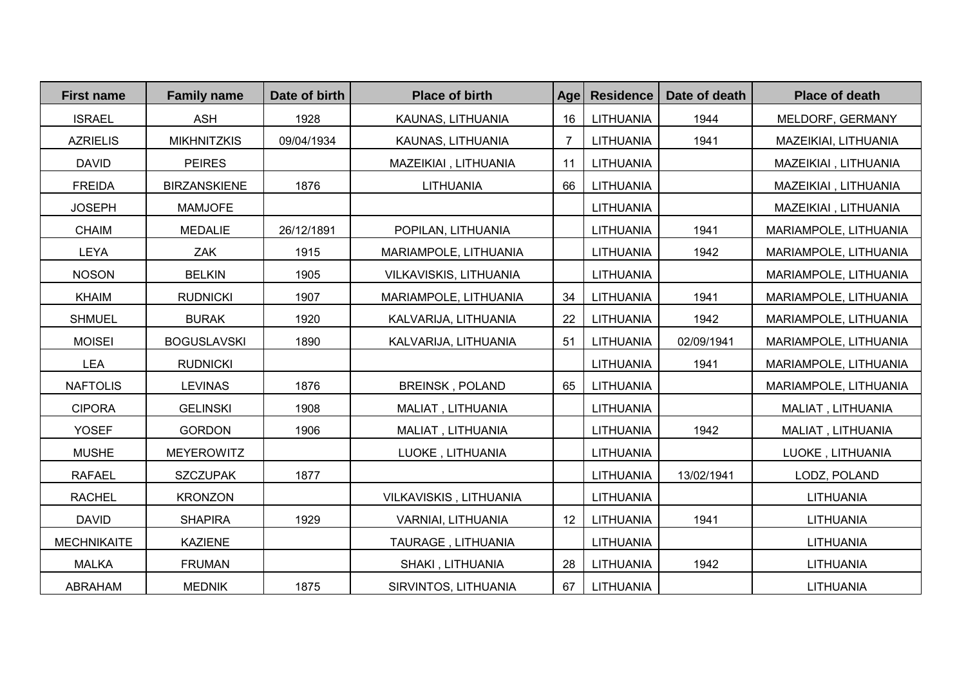| <b>First name</b>  | <b>Family name</b>  | Date of birth | <b>Place of birth</b>  | Age | <b>Residence</b> | Date of death | <b>Place of death</b> |
|--------------------|---------------------|---------------|------------------------|-----|------------------|---------------|-----------------------|
| <b>ISRAEL</b>      | <b>ASH</b>          | 1928          | KAUNAS, LITHUANIA      | 16  | LITHUANIA        | 1944          | MELDORF, GERMANY      |
| <b>AZRIELIS</b>    | <b>MIKHNITZKIS</b>  | 09/04/1934    | KAUNAS, LITHUANIA      | 7   | LITHUANIA        | 1941          | MAZEIKIAI, LITHUANIA  |
| <b>DAVID</b>       | <b>PEIRES</b>       |               | MAZEIKIAI, LITHUANIA   | 11  | LITHUANIA        |               | MAZEIKIAI, LITHUANIA  |
| <b>FREIDA</b>      | <b>BIRZANSKIENE</b> | 1876          | LITHUANIA              | 66  | LITHUANIA        |               | MAZEIKIAI, LITHUANIA  |
| <b>JOSEPH</b>      | <b>MAMJOFE</b>      |               |                        |     | LITHUANIA        |               | MAZEIKIAI, LITHUANIA  |
| <b>CHAIM</b>       | <b>MEDALIE</b>      | 26/12/1891    | POPILAN, LITHUANIA     |     | LITHUANIA        | 1941          | MARIAMPOLE, LITHUANIA |
| <b>LEYA</b>        | ZAK                 | 1915          | MARIAMPOLE, LITHUANIA  |     | LITHUANIA        | 1942          | MARIAMPOLE, LITHUANIA |
| <b>NOSON</b>       | <b>BELKIN</b>       | 1905          | VILKAVISKIS, LITHUANIA |     | LITHUANIA        |               | MARIAMPOLE, LITHUANIA |
| <b>KHAIM</b>       | <b>RUDNICKI</b>     | 1907          | MARIAMPOLE, LITHUANIA  | 34  | LITHUANIA        | 1941          | MARIAMPOLE, LITHUANIA |
| <b>SHMUEL</b>      | <b>BURAK</b>        | 1920          | KALVARIJA, LITHUANIA   | 22  | LITHUANIA        | 1942          | MARIAMPOLE, LITHUANIA |
| <b>MOISEI</b>      | <b>BOGUSLAVSKI</b>  | 1890          | KALVARIJA, LITHUANIA   | 51  | LITHUANIA        | 02/09/1941    | MARIAMPOLE, LITHUANIA |
| <b>LEA</b>         | <b>RUDNICKI</b>     |               |                        |     | <b>LITHUANIA</b> | 1941          | MARIAMPOLE, LITHUANIA |
| <b>NAFTOLIS</b>    | <b>LEVINAS</b>      | 1876          | <b>BREINSK, POLAND</b> | 65  | <b>LITHUANIA</b> |               | MARIAMPOLE, LITHUANIA |
| <b>CIPORA</b>      | <b>GELINSKI</b>     | 1908          | MALIAT, LITHUANIA      |     | <b>LITHUANIA</b> |               | MALIAT, LITHUANIA     |
| <b>YOSEF</b>       | <b>GORDON</b>       | 1906          | MALIAT, LITHUANIA      |     | <b>LITHUANIA</b> | 1942          | MALIAT, LITHUANIA     |
| <b>MUSHE</b>       | <b>MEYEROWITZ</b>   |               | LUOKE, LITHUANIA       |     | <b>LITHUANIA</b> |               | LUOKE, LITHUANIA      |
| <b>RAFAEL</b>      | <b>SZCZUPAK</b>     | 1877          |                        |     | LITHUANIA        | 13/02/1941    | LODZ, POLAND          |
| <b>RACHEL</b>      | <b>KRONZON</b>      |               | VILKAVISKIS, LITHUANIA |     | <b>LITHUANIA</b> |               | LITHUANIA             |
| <b>DAVID</b>       | <b>SHAPIRA</b>      | 1929          | VARNIAI, LITHUANIA     | 12  | LITHUANIA        | 1941          | <b>LITHUANIA</b>      |
| <b>MECHNIKAITE</b> | <b>KAZIENE</b>      |               | TAURAGE, LITHUANIA     |     | LITHUANIA        |               | LITHUANIA             |
| <b>MALKA</b>       | <b>FRUMAN</b>       |               | SHAKI, LITHUANIA       | 28  | <b>LITHUANIA</b> | 1942          | LITHUANIA             |
| ABRAHAM            | <b>MEDNIK</b>       | 1875          | SIRVINTOS, LITHUANIA   | 67  | LITHUANIA        |               | LITHUANIA             |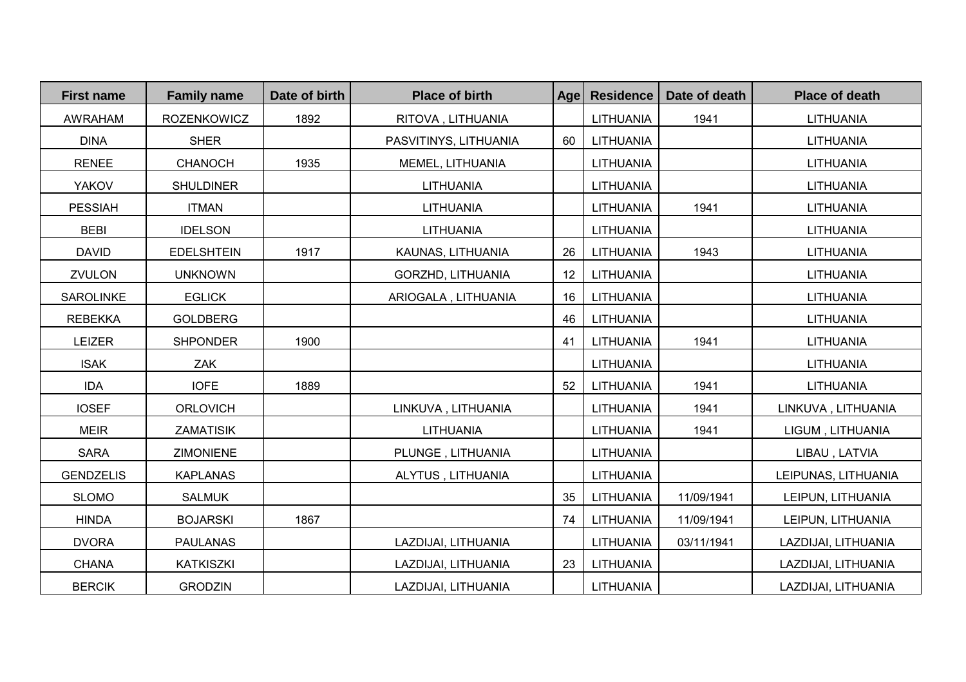| <b>First name</b> | <b>Family name</b> | Date of birth | <b>Place of birth</b> | Age | <b>Residence</b> | Date of death | <b>Place of death</b> |
|-------------------|--------------------|---------------|-----------------------|-----|------------------|---------------|-----------------------|
| <b>AWRAHAM</b>    | <b>ROZENKOWICZ</b> | 1892          | RITOVA, LITHUANIA     |     | LITHUANIA        | 1941          | <b>LITHUANIA</b>      |
| <b>DINA</b>       | <b>SHER</b>        |               | PASVITINYS, LITHUANIA | 60  | LITHUANIA        |               | LITHUANIA             |
| <b>RENEE</b>      | <b>CHANOCH</b>     | 1935          | MEMEL, LITHUANIA      |     | <b>LITHUANIA</b> |               | LITHUANIA             |
| <b>YAKOV</b>      | <b>SHULDINER</b>   |               | <b>LITHUANIA</b>      |     | <b>LITHUANIA</b> |               | LITHUANIA             |
| <b>PESSIAH</b>    | <b>ITMAN</b>       |               | LITHUANIA             |     | LITHUANIA        | 1941          | LITHUANIA             |
| <b>BEBI</b>       | <b>IDELSON</b>     |               | <b>LITHUANIA</b>      |     | LITHUANIA        |               | LITHUANIA             |
| <b>DAVID</b>      | <b>EDELSHTEIN</b>  | 1917          | KAUNAS, LITHUANIA     | 26  | LITHUANIA        | 1943          | <b>LITHUANIA</b>      |
| ZVULON            | <b>UNKNOWN</b>     |               | GORZHD, LITHUANIA     | 12  | LITHUANIA        |               | LITHUANIA             |
| <b>SAROLINKE</b>  | <b>EGLICK</b>      |               | ARIOGALA, LITHUANIA   | 16  | LITHUANIA        |               | <b>LITHUANIA</b>      |
| <b>REBEKKA</b>    | <b>GOLDBERG</b>    |               |                       | 46  | LITHUANIA        |               | LITHUANIA             |
| <b>LEIZER</b>     | <b>SHPONDER</b>    | 1900          |                       | 41  | LITHUANIA        | 1941          | LITHUANIA             |
| <b>ISAK</b>       | ZAK                |               |                       |     | <b>LITHUANIA</b> |               | LITHUANIA             |
| <b>IDA</b>        | <b>IOFE</b>        | 1889          |                       | 52  | LITHUANIA        | 1941          | LITHUANIA             |
| <b>IOSEF</b>      | <b>ORLOVICH</b>    |               | LINKUVA, LITHUANIA    |     | <b>LITHUANIA</b> | 1941          | LINKUVA, LITHUANIA    |
| <b>MEIR</b>       | <b>ZAMATISIK</b>   |               | <b>LITHUANIA</b>      |     | <b>LITHUANIA</b> | 1941          | LIGUM, LITHUANIA      |
| <b>SARA</b>       | <b>ZIMONIENE</b>   |               | PLUNGE, LITHUANIA     |     | <b>LITHUANIA</b> |               | LIBAU, LATVIA         |
| <b>GENDZELIS</b>  | <b>KAPLANAS</b>    |               | ALYTUS, LITHUANIA     |     | <b>LITHUANIA</b> |               | LEIPUNAS, LITHUANIA   |
| <b>SLOMO</b>      | <b>SALMUK</b>      |               |                       | 35  | LITHUANIA        | 11/09/1941    | LEIPUN, LITHUANIA     |
| <b>HINDA</b>      | <b>BOJARSKI</b>    | 1867          |                       | 74  | <b>LITHUANIA</b> | 11/09/1941    | LEIPUN, LITHUANIA     |
| <b>DVORA</b>      | <b>PAULANAS</b>    |               | LAZDIJAI, LITHUANIA   |     | <b>LITHUANIA</b> | 03/11/1941    | LAZDIJAI, LITHUANIA   |
| <b>CHANA</b>      | <b>KATKISZKI</b>   |               | LAZDIJAI, LITHUANIA   | 23  | LITHUANIA        |               | LAZDIJAI, LITHUANIA   |
| <b>BERCIK</b>     | <b>GRODZIN</b>     |               | LAZDIJAI, LITHUANIA   |     | LITHUANIA        |               | LAZDIJAI, LITHUANIA   |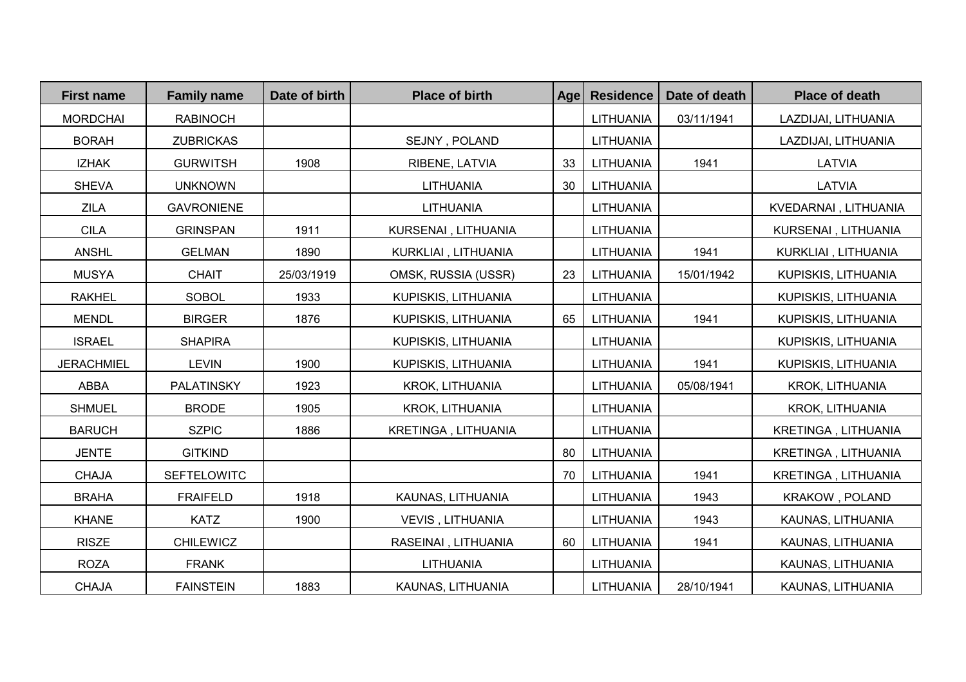| <b>First name</b> | <b>Family name</b> | Date of birth | <b>Place of birth</b>   | Age | <b>Residence</b> | Date of death | <b>Place of death</b>  |
|-------------------|--------------------|---------------|-------------------------|-----|------------------|---------------|------------------------|
| <b>MORDCHAI</b>   | <b>RABINOCH</b>    |               |                         |     | LITHUANIA        | 03/11/1941    | LAZDIJAI, LITHUANIA    |
| <b>BORAH</b>      | <b>ZUBRICKAS</b>   |               | SEJNY, POLAND           |     | LITHUANIA        |               | LAZDIJAI, LITHUANIA    |
| <b>IZHAK</b>      | <b>GURWITSH</b>    | 1908          | RIBENE, LATVIA          | 33  | LITHUANIA        | 1941          | LATVIA                 |
| <b>SHEVA</b>      | <b>UNKNOWN</b>     |               | LITHUANIA               | 30  | LITHUANIA        |               | LATVIA                 |
| <b>ZILA</b>       | <b>GAVRONIENE</b>  |               | LITHUANIA               |     | LITHUANIA        |               | KVEDARNAI, LITHUANIA   |
| <b>CILA</b>       | <b>GRINSPAN</b>    | 1911          | KURSENAI, LITHUANIA     |     | LITHUANIA        |               | KURSENAI, LITHUANIA    |
| <b>ANSHL</b>      | <b>GELMAN</b>      | 1890          | KURKLIAI, LITHUANIA     |     | LITHUANIA        | 1941          | KURKLIAI, LITHUANIA    |
| <b>MUSYA</b>      | <b>CHAIT</b>       | 25/03/1919    | OMSK, RUSSIA (USSR)     | 23  | LITHUANIA        | 15/01/1942    | KUPISKIS, LITHUANIA    |
| <b>RAKHEL</b>     | <b>SOBOL</b>       | 1933          | KUPISKIS, LITHUANIA     |     | LITHUANIA        |               | KUPISKIS, LITHUANIA    |
| <b>MENDL</b>      | <b>BIRGER</b>      | 1876          | KUPISKIS, LITHUANIA     | 65  | LITHUANIA        | 1941          | KUPISKIS, LITHUANIA    |
| <b>ISRAEL</b>     | <b>SHAPIRA</b>     |               | KUPISKIS, LITHUANIA     |     | LITHUANIA        |               | KUPISKIS, LITHUANIA    |
| <b>JERACHMIEL</b> | <b>LEVIN</b>       | 1900          | KUPISKIS, LITHUANIA     |     | LITHUANIA        | 1941          | KUPISKIS, LITHUANIA    |
| ABBA              | <b>PALATINSKY</b>  | 1923          | KROK, LITHUANIA         |     | LITHUANIA        | 05/08/1941    | <b>KROK, LITHUANIA</b> |
| <b>SHMUEL</b>     | <b>BRODE</b>       | 1905          | KROK, LITHUANIA         |     | LITHUANIA        |               | KROK, LITHUANIA        |
| <b>BARUCH</b>     | <b>SZPIC</b>       | 1886          | KRETINGA, LITHUANIA     |     | LITHUANIA        |               | KRETINGA, LITHUANIA    |
| <b>JENTE</b>      | <b>GITKIND</b>     |               |                         | 80  | LITHUANIA        |               | KRETINGA, LITHUANIA    |
| <b>CHAJA</b>      | SEFTELOWITC        |               |                         | 70  | LITHUANIA        | 1941          | KRETINGA, LITHUANIA    |
| <b>BRAHA</b>      | <b>FRAIFELD</b>    | 1918          | KAUNAS, LITHUANIA       |     | LITHUANIA        | 1943          | <b>KRAKOW, POLAND</b>  |
| <b>KHANE</b>      | <b>KATZ</b>        | 1900          | <b>VEVIS, LITHUANIA</b> |     | LITHUANIA        | 1943          | KAUNAS, LITHUANIA      |
| <b>RISZE</b>      | <b>CHILEWICZ</b>   |               | RASEINAI, LITHUANIA     | 60  | LITHUANIA        | 1941          | KAUNAS, LITHUANIA      |
| <b>ROZA</b>       | <b>FRANK</b>       |               | <b>LITHUANIA</b>        |     | <b>LITHUANIA</b> |               | KAUNAS, LITHUANIA      |
| <b>CHAJA</b>      | <b>FAINSTEIN</b>   | 1883          | KAUNAS, LITHUANIA       |     | LITHUANIA        | 28/10/1941    | KAUNAS, LITHUANIA      |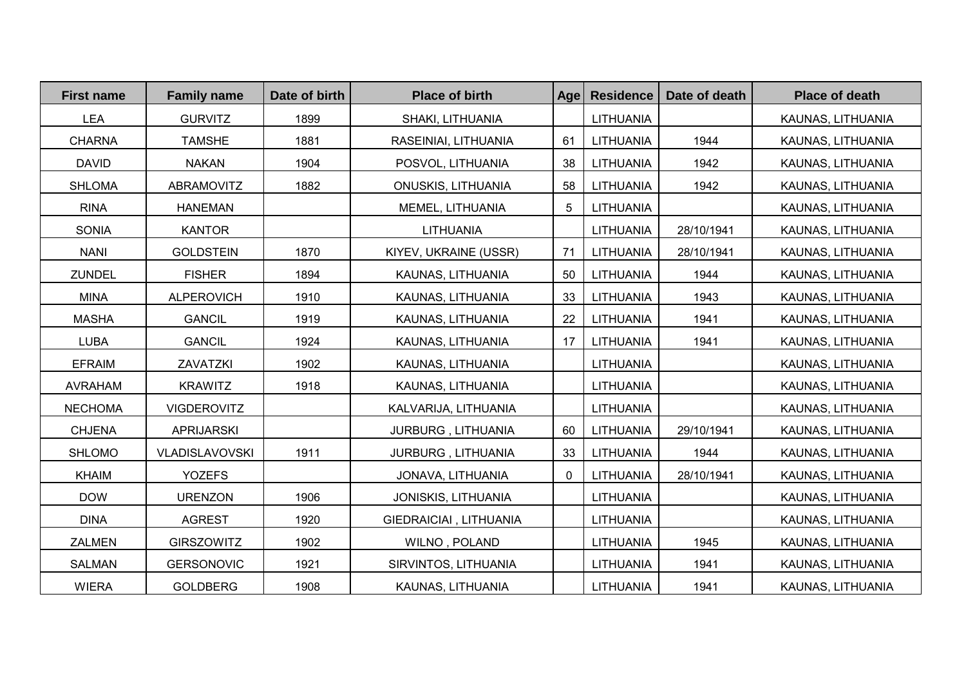| <b>First name</b> | <b>Family name</b> | Date of birth | <b>Place of birth</b>     | Age | <b>Residence</b> | Date of death | <b>Place of death</b> |
|-------------------|--------------------|---------------|---------------------------|-----|------------------|---------------|-----------------------|
| <b>LEA</b>        | <b>GURVITZ</b>     | 1899          | SHAKI, LITHUANIA          |     | <b>LITHUANIA</b> |               | KAUNAS, LITHUANIA     |
| <b>CHARNA</b>     | <b>TAMSHE</b>      | 1881          | RASEINIAI, LITHUANIA      | 61  | LITHUANIA        | 1944          | KAUNAS, LITHUANIA     |
| <b>DAVID</b>      | <b>NAKAN</b>       | 1904          | POSVOL, LITHUANIA         | 38  | <b>LITHUANIA</b> | 1942          | KAUNAS, LITHUANIA     |
| <b>SHLOMA</b>     | ABRAMOVITZ         | 1882          | <b>ONUSKIS, LITHUANIA</b> | 58  | LITHUANIA        | 1942          | KAUNAS, LITHUANIA     |
| <b>RINA</b>       | <b>HANEMAN</b>     |               | MEMEL, LITHUANIA          | 5   | <b>LITHUANIA</b> |               | KAUNAS, LITHUANIA     |
| <b>SONIA</b>      | <b>KANTOR</b>      |               | <b>LITHUANIA</b>          |     | LITHUANIA        | 28/10/1941    | KAUNAS, LITHUANIA     |
| <b>NANI</b>       | <b>GOLDSTEIN</b>   | 1870          | KIYEV, UKRAINE (USSR)     | 71  | LITHUANIA        | 28/10/1941    | KAUNAS, LITHUANIA     |
| <b>ZUNDEL</b>     | <b>FISHER</b>      | 1894          | KAUNAS, LITHUANIA         | 50  | LITHUANIA        | 1944          | KAUNAS, LITHUANIA     |
| <b>MINA</b>       | <b>ALPEROVICH</b>  | 1910          | KAUNAS, LITHUANIA         | 33  | LITHUANIA        | 1943          | KAUNAS, LITHUANIA     |
| <b>MASHA</b>      | <b>GANCIL</b>      | 1919          | KAUNAS, LITHUANIA         | 22  | LITHUANIA        | 1941          | KAUNAS, LITHUANIA     |
| <b>LUBA</b>       | <b>GANCIL</b>      | 1924          | KAUNAS, LITHUANIA         | 17  | <b>LITHUANIA</b> | 1941          | KAUNAS, LITHUANIA     |
| <b>EFRAIM</b>     | ZAVATZKI           | 1902          | KAUNAS, LITHUANIA         |     | LITHUANIA        |               | KAUNAS, LITHUANIA     |
| <b>AVRAHAM</b>    | <b>KRAWITZ</b>     | 1918          | KAUNAS, LITHUANIA         |     | <b>LITHUANIA</b> |               | KAUNAS, LITHUANIA     |
| <b>NECHOMA</b>    | <b>VIGDEROVITZ</b> |               | KALVARIJA, LITHUANIA      |     | <b>LITHUANIA</b> |               | KAUNAS, LITHUANIA     |
| <b>CHJENA</b>     | <b>APRIJARSKI</b>  |               | JURBURG, LITHUANIA        | 60  | <b>LITHUANIA</b> | 29/10/1941    | KAUNAS, LITHUANIA     |
| <b>SHLOMO</b>     | VLADISLAVOVSKI     | 1911          | JURBURG, LITHUANIA        | 33  | LITHUANIA        | 1944          | KAUNAS, LITHUANIA     |
| <b>KHAIM</b>      | <b>YOZEFS</b>      |               | JONAVA, LITHUANIA         | 0   | LITHUANIA        | 28/10/1941    | KAUNAS, LITHUANIA     |
| <b>DOW</b>        | <b>URENZON</b>     | 1906          | JONISKIS, LITHUANIA       |     | <b>LITHUANIA</b> |               | KAUNAS, LITHUANIA     |
| <b>DINA</b>       | <b>AGREST</b>      | 1920          | GIEDRAICIAI, LITHUANIA    |     | <b>LITHUANIA</b> |               | KAUNAS, LITHUANIA     |
| ZALMEN            | <b>GIRSZOWITZ</b>  | 1902          | WILNO, POLAND             |     | <b>LITHUANIA</b> | 1945          | KAUNAS, LITHUANIA     |
| <b>SALMAN</b>     | <b>GERSONOVIC</b>  | 1921          | SIRVINTOS, LITHUANIA      |     | LITHUANIA        | 1941          | KAUNAS, LITHUANIA     |
| <b>WIERA</b>      | <b>GOLDBERG</b>    | 1908          | KAUNAS, LITHUANIA         |     | <b>LITHUANIA</b> | 1941          | KAUNAS, LITHUANIA     |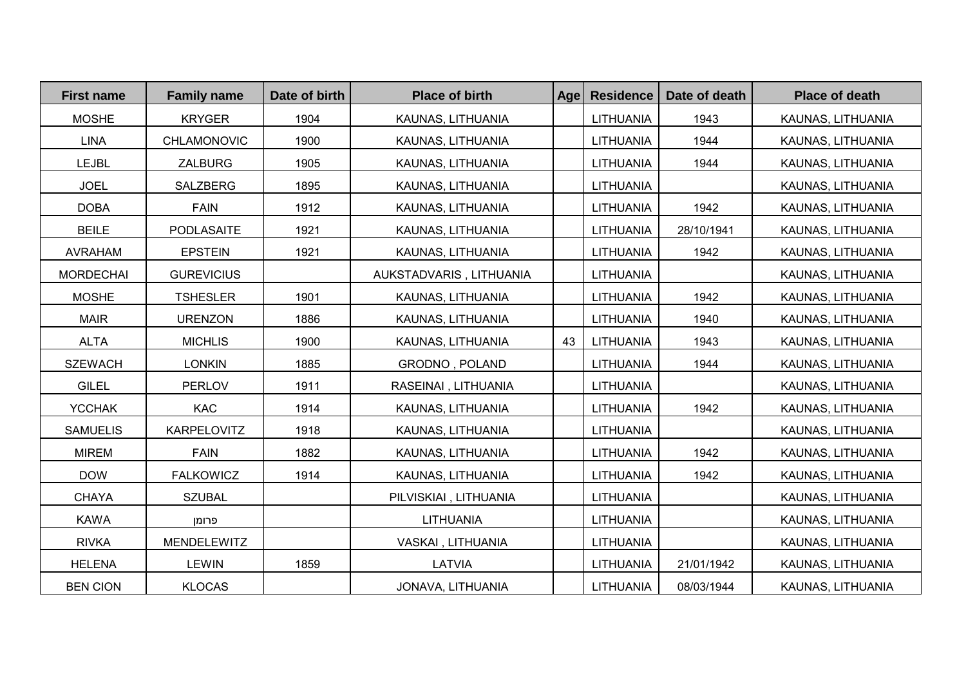| <b>First name</b> | <b>Family name</b> | Date of birth | <b>Place of birth</b>   | Age | <b>Residence</b> | Date of death | <b>Place of death</b> |
|-------------------|--------------------|---------------|-------------------------|-----|------------------|---------------|-----------------------|
| <b>MOSHE</b>      | <b>KRYGER</b>      | 1904          | KAUNAS, LITHUANIA       |     | <b>LITHUANIA</b> | 1943          | KAUNAS, LITHUANIA     |
| <b>LINA</b>       | CHLAMONOVIC        | 1900          | KAUNAS, LITHUANIA       |     | LITHUANIA        | 1944          | KAUNAS, LITHUANIA     |
| <b>LEJBL</b>      | <b>ZALBURG</b>     | 1905          | KAUNAS, LITHUANIA       |     | <b>LITHUANIA</b> | 1944          | KAUNAS, LITHUANIA     |
| <b>JOEL</b>       | SALZBERG           | 1895          | KAUNAS, LITHUANIA       |     | LITHUANIA        |               | KAUNAS, LITHUANIA     |
| <b>DOBA</b>       | <b>FAIN</b>        | 1912          | KAUNAS, LITHUANIA       |     | LITHUANIA        | 1942          | KAUNAS, LITHUANIA     |
| <b>BEILE</b>      | <b>PODLASAITE</b>  | 1921          | KAUNAS, LITHUANIA       |     | LITHUANIA        | 28/10/1941    | KAUNAS, LITHUANIA     |
| <b>AVRAHAM</b>    | <b>EPSTEIN</b>     | 1921          | KAUNAS, LITHUANIA       |     | LITHUANIA        | 1942          | KAUNAS, LITHUANIA     |
| <b>MORDECHAI</b>  | <b>GUREVICIUS</b>  |               | AUKSTADVARIS, LITHUANIA |     | LITHUANIA        |               | KAUNAS, LITHUANIA     |
| <b>MOSHE</b>      | <b>TSHESLER</b>    | 1901          | KAUNAS, LITHUANIA       |     | LITHUANIA        | 1942          | KAUNAS, LITHUANIA     |
| <b>MAIR</b>       | <b>URENZON</b>     | 1886          | KAUNAS, LITHUANIA       |     | LITHUANIA        | 1940          | KAUNAS, LITHUANIA     |
| <b>ALTA</b>       | <b>MICHLIS</b>     | 1900          | KAUNAS, LITHUANIA       | 43  | LITHUANIA        | 1943          | KAUNAS, LITHUANIA     |
| <b>SZEWACH</b>    | <b>LONKIN</b>      | 1885          | GRODNO, POLAND          |     | <b>LITHUANIA</b> | 1944          | KAUNAS, LITHUANIA     |
| <b>GILEL</b>      | <b>PERLOV</b>      | 1911          | RASEINAI, LITHUANIA     |     | LITHUANIA        |               | KAUNAS, LITHUANIA     |
| <b>YCCHAK</b>     | <b>KAC</b>         | 1914          | KAUNAS, LITHUANIA       |     | LITHUANIA        | 1942          | KAUNAS, LITHUANIA     |
| <b>SAMUELIS</b>   | KARPELOVITZ        | 1918          | KAUNAS, LITHUANIA       |     | <b>LITHUANIA</b> |               | KAUNAS, LITHUANIA     |
| <b>MIREM</b>      | <b>FAIN</b>        | 1882          | KAUNAS, LITHUANIA       |     | LITHUANIA        | 1942          | KAUNAS, LITHUANIA     |
| <b>DOW</b>        | <b>FALKOWICZ</b>   | 1914          | KAUNAS, LITHUANIA       |     | LITHUANIA        | 1942          | KAUNAS, LITHUANIA     |
| <b>CHAYA</b>      | <b>SZUBAL</b>      |               | PILVISKIAI, LITHUANIA   |     | <b>LITHUANIA</b> |               | KAUNAS, LITHUANIA     |
| <b>KAWA</b>       | פרומן              |               | <b>LITHUANIA</b>        |     | <b>LITHUANIA</b> |               | KAUNAS, LITHUANIA     |
| <b>RIVKA</b>      | MENDELEWITZ        |               | VASKAI, LITHUANIA       |     | <b>LITHUANIA</b> |               | KAUNAS, LITHUANIA     |
| <b>HELENA</b>     | <b>LEWIN</b>       | 1859          | LATVIA                  |     | <b>LITHUANIA</b> | 21/01/1942    | KAUNAS, LITHUANIA     |
| <b>BEN CION</b>   | <b>KLOCAS</b>      |               | JONAVA, LITHUANIA       |     | <b>LITHUANIA</b> | 08/03/1944    | KAUNAS, LITHUANIA     |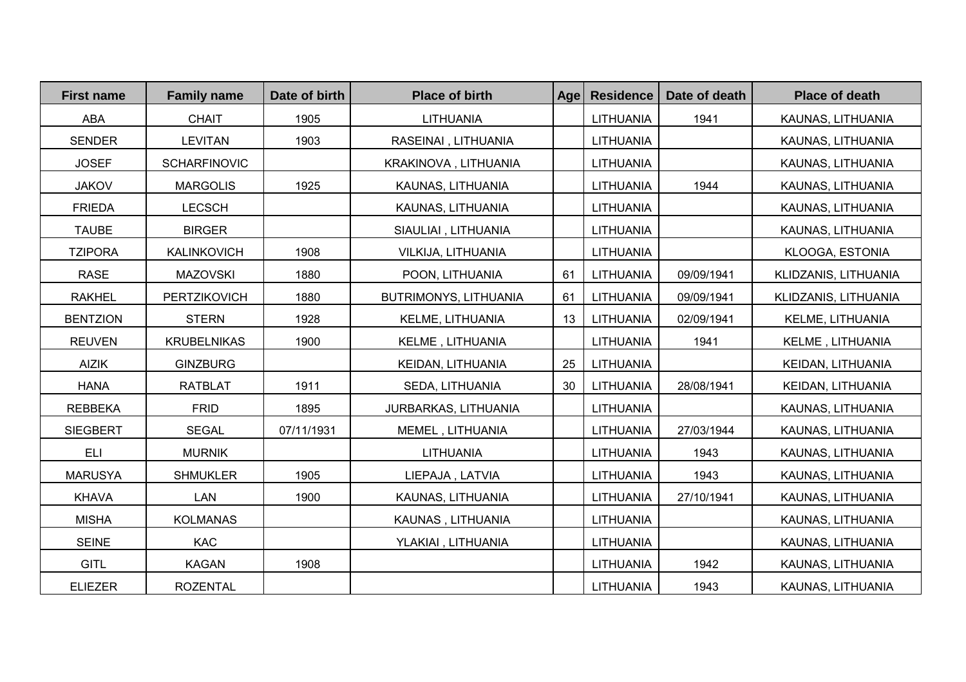| <b>First name</b> | <b>Family name</b>  | Date of birth | <b>Place of birth</b> | <b>Age</b> | <b>Residence</b> | Date of death | <b>Place of death</b> |
|-------------------|---------------------|---------------|-----------------------|------------|------------------|---------------|-----------------------|
| <b>ABA</b>        | <b>CHAIT</b>        | 1905          | LITHUANIA             |            | LITHUANIA        | 1941          | KAUNAS, LITHUANIA     |
| <b>SENDER</b>     | <b>LEVITAN</b>      | 1903          | RASEINAI, LITHUANIA   |            | LITHUANIA        |               | KAUNAS, LITHUANIA     |
| <b>JOSEF</b>      | <b>SCHARFINOVIC</b> |               | KRAKINOVA, LITHUANIA  |            | LITHUANIA        |               | KAUNAS, LITHUANIA     |
| <b>JAKOV</b>      | <b>MARGOLIS</b>     | 1925          | KAUNAS, LITHUANIA     |            | LITHUANIA        | 1944          | KAUNAS, LITHUANIA     |
| <b>FRIEDA</b>     | <b>LECSCH</b>       |               | KAUNAS, LITHUANIA     |            | LITHUANIA        |               | KAUNAS, LITHUANIA     |
| <b>TAUBE</b>      | <b>BIRGER</b>       |               | SIAULIAI, LITHUANIA   |            | LITHUANIA        |               | KAUNAS, LITHUANIA     |
| <b>TZIPORA</b>    | KALINKOVICH         | 1908          | VILKIJA, LITHUANIA    |            | <b>LITHUANIA</b> |               | KLOOGA, ESTONIA       |
| <b>RASE</b>       | <b>MAZOVSKI</b>     | 1880          | POON, LITHUANIA       | 61         | LITHUANIA        | 09/09/1941    | KLIDZANIS, LITHUANIA  |
| <b>RAKHEL</b>     | PERTZIKOVICH        | 1880          | BUTRIMONYS, LITHUANIA | 61         | LITHUANIA        | 09/09/1941    | KLIDZANIS, LITHUANIA  |
| <b>BENTZION</b>   | <b>STERN</b>        | 1928          | KELME, LITHUANIA      | 13         | LITHUANIA        | 02/09/1941    | KELME, LITHUANIA      |
| <b>REUVEN</b>     | <b>KRUBELNIKAS</b>  | 1900          | KELME, LITHUANIA      |            | LITHUANIA        | 1941          | KELME, LITHUANIA      |
| <b>AIZIK</b>      | <b>GINZBURG</b>     |               | KEIDAN, LITHUANIA     | 25         | LITHUANIA        |               | KEIDAN, LITHUANIA     |
| <b>HANA</b>       | <b>RATBLAT</b>      | 1911          | SEDA, LITHUANIA       | 30         | LITHUANIA        | 28/08/1941    | KEIDAN, LITHUANIA     |
| <b>REBBEKA</b>    | <b>FRID</b>         | 1895          | JURBARKAS, LITHUANIA  |            | LITHUANIA        |               | KAUNAS, LITHUANIA     |
| <b>SIEGBERT</b>   | <b>SEGAL</b>        | 07/11/1931    | MEMEL, LITHUANIA      |            | <b>LITHUANIA</b> | 27/03/1944    | KAUNAS, LITHUANIA     |
| <b>ELI</b>        | <b>MURNIK</b>       |               | LITHUANIA             |            | LITHUANIA        | 1943          | KAUNAS, LITHUANIA     |
| <b>MARUSYA</b>    | <b>SHMUKLER</b>     | 1905          | LIEPAJA, LATVIA       |            | LITHUANIA        | 1943          | KAUNAS, LITHUANIA     |
| <b>KHAVA</b>      | <b>LAN</b>          | 1900          | KAUNAS, LITHUANIA     |            | LITHUANIA        | 27/10/1941    | KAUNAS, LITHUANIA     |
| <b>MISHA</b>      | <b>KOLMANAS</b>     |               | KAUNAS, LITHUANIA     |            | <b>LITHUANIA</b> |               | KAUNAS, LITHUANIA     |
| <b>SEINE</b>      | <b>KAC</b>          |               | YLAKIAI, LITHUANIA    |            | <b>LITHUANIA</b> |               | KAUNAS, LITHUANIA     |
| <b>GITL</b>       | <b>KAGAN</b>        | 1908          |                       |            | LITHUANIA        | 1942          | KAUNAS, LITHUANIA     |
| <b>ELIEZER</b>    | <b>ROZENTAL</b>     |               |                       |            | LITHUANIA        | 1943          | KAUNAS, LITHUANIA     |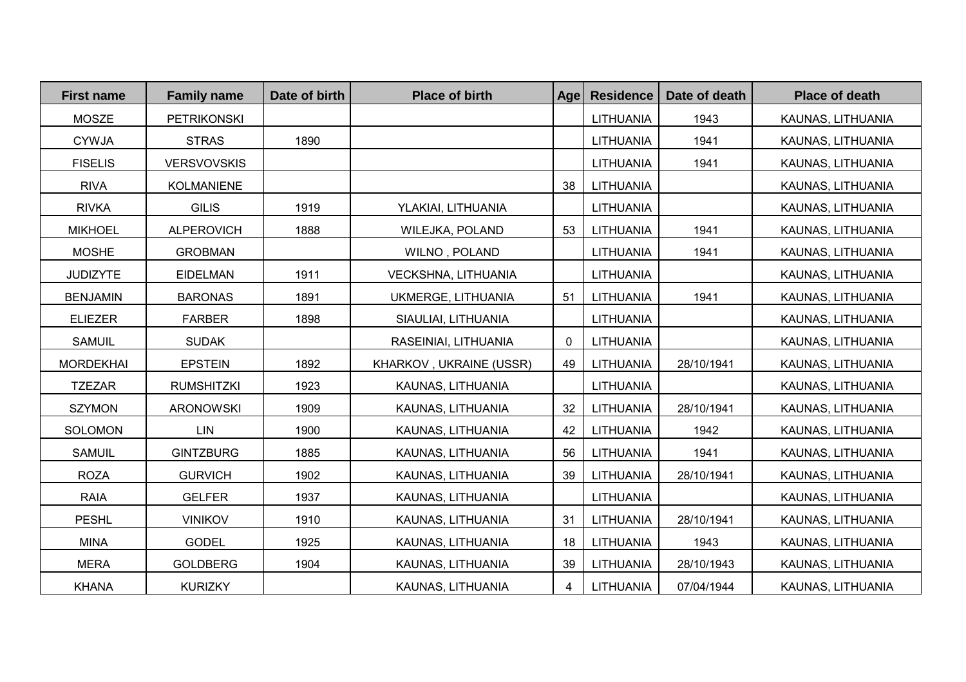| <b>First name</b> | <b>Family name</b> | Date of birth | <b>Place of birth</b>   | <b>Age</b>   | <b>Residence</b> | Date of death | <b>Place of death</b> |
|-------------------|--------------------|---------------|-------------------------|--------------|------------------|---------------|-----------------------|
| <b>MOSZE</b>      | <b>PETRIKONSKI</b> |               |                         |              | LITHUANIA        | 1943          | KAUNAS, LITHUANIA     |
| <b>CYWJA</b>      | <b>STRAS</b>       | 1890          |                         |              | LITHUANIA        | 1941          | KAUNAS, LITHUANIA     |
| <b>FISELIS</b>    | <b>VERSVOVSKIS</b> |               |                         |              | LITHUANIA        | 1941          | KAUNAS, LITHUANIA     |
| <b>RIVA</b>       | <b>KOLMANIENE</b>  |               |                         | 38           | LITHUANIA        |               | KAUNAS, LITHUANIA     |
| <b>RIVKA</b>      | <b>GILIS</b>       | 1919          | YLAKIAI, LITHUANIA      |              | LITHUANIA        |               | KAUNAS, LITHUANIA     |
| <b>MIKHOEL</b>    | <b>ALPEROVICH</b>  | 1888          | <b>WILEJKA, POLAND</b>  | 53           | LITHUANIA        | 1941          | KAUNAS, LITHUANIA     |
| <b>MOSHE</b>      | <b>GROBMAN</b>     |               | WILNO, POLAND           |              | LITHUANIA        | 1941          | KAUNAS, LITHUANIA     |
| <b>JUDIZYTE</b>   | <b>EIDELMAN</b>    | 1911          | VECKSHNA, LITHUANIA     |              | LITHUANIA        |               | KAUNAS, LITHUANIA     |
| <b>BENJAMIN</b>   | <b>BARONAS</b>     | 1891          | UKMERGE, LITHUANIA      | 51           | LITHUANIA        | 1941          | KAUNAS, LITHUANIA     |
| <b>ELIEZER</b>    | <b>FARBER</b>      | 1898          | SIAULIAI, LITHUANIA     |              | LITHUANIA        |               | KAUNAS, LITHUANIA     |
| <b>SAMUIL</b>     | <b>SUDAK</b>       |               | RASEINIAI, LITHUANIA    | $\mathbf{0}$ | <b>LITHUANIA</b> |               | KAUNAS, LITHUANIA     |
| <b>MORDEKHAI</b>  | <b>EPSTEIN</b>     | 1892          | KHARKOV, UKRAINE (USSR) | 49           | LITHUANIA        | 28/10/1941    | KAUNAS, LITHUANIA     |
| <b>TZEZAR</b>     | <b>RUMSHITZKI</b>  | 1923          | KAUNAS, LITHUANIA       |              | <b>LITHUANIA</b> |               | KAUNAS, LITHUANIA     |
| <b>SZYMON</b>     | <b>ARONOWSKI</b>   | 1909          | KAUNAS, LITHUANIA       | 32           | LITHUANIA        | 28/10/1941    | KAUNAS, LITHUANIA     |
| <b>SOLOMON</b>    | <b>LIN</b>         | 1900          | KAUNAS, LITHUANIA       | 42           | LITHUANIA        | 1942          | KAUNAS, LITHUANIA     |
| <b>SAMUIL</b>     | <b>GINTZBURG</b>   | 1885          | KAUNAS, LITHUANIA       | 56           | LITHUANIA        | 1941          | KAUNAS, LITHUANIA     |
| <b>ROZA</b>       | <b>GURVICH</b>     | 1902          | KAUNAS, LITHUANIA       | 39           | LITHUANIA        | 28/10/1941    | KAUNAS, LITHUANIA     |
| <b>RAIA</b>       | <b>GELFER</b>      | 1937          | KAUNAS, LITHUANIA       |              | <b>LITHUANIA</b> |               | KAUNAS, LITHUANIA     |
| <b>PESHL</b>      | <b>VINIKOV</b>     | 1910          | KAUNAS, LITHUANIA       | 31           | LITHUANIA        | 28/10/1941    | KAUNAS, LITHUANIA     |
| <b>MINA</b>       | <b>GODEL</b>       | 1925          | KAUNAS, LITHUANIA       | 18           | LITHUANIA        | 1943          | KAUNAS, LITHUANIA     |
| <b>MERA</b>       | <b>GOLDBERG</b>    | 1904          | KAUNAS, LITHUANIA       | 39           | LITHUANIA        | 28/10/1943    | KAUNAS, LITHUANIA     |
| <b>KHANA</b>      | <b>KURIZKY</b>     |               | KAUNAS, LITHUANIA       | 4            | LITHUANIA        | 07/04/1944    | KAUNAS, LITHUANIA     |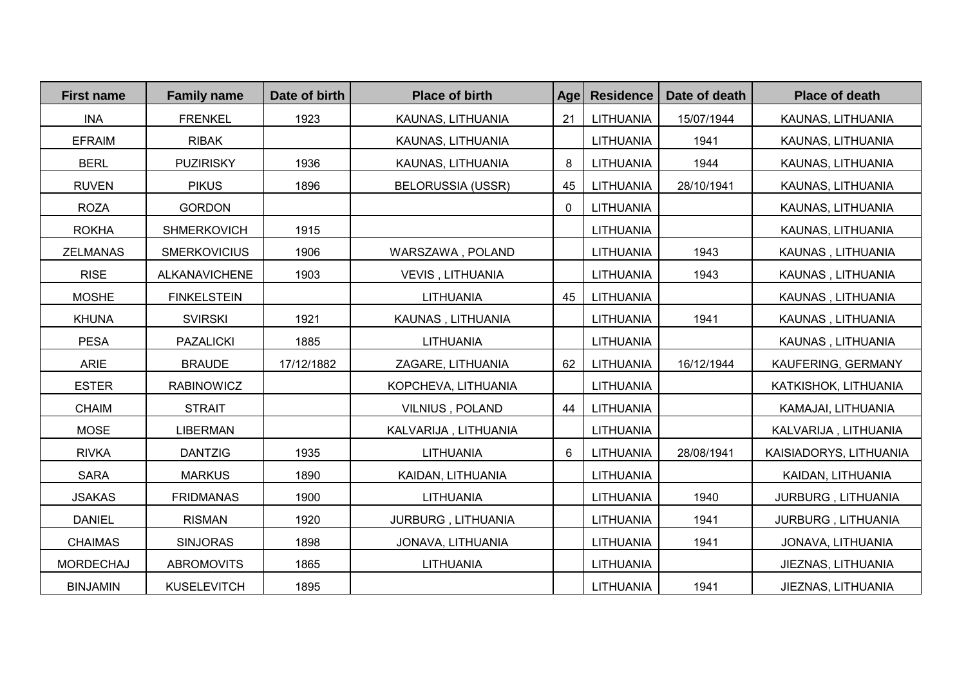| <b>First name</b> | <b>Family name</b>   | Date of birth | <b>Place of birth</b>    | Age          | <b>Residence</b> | Date of death | <b>Place of death</b>  |
|-------------------|----------------------|---------------|--------------------------|--------------|------------------|---------------|------------------------|
| <b>INA</b>        | <b>FRENKEL</b>       | 1923          | KAUNAS, LITHUANIA        | 21           | LITHUANIA        | 15/07/1944    | KAUNAS, LITHUANIA      |
| <b>EFRAIM</b>     | <b>RIBAK</b>         |               | KAUNAS, LITHUANIA        |              | LITHUANIA        | 1941          | KAUNAS, LITHUANIA      |
| <b>BERL</b>       | <b>PUZIRISKY</b>     | 1936          | KAUNAS, LITHUANIA        | 8            | LITHUANIA        | 1944          | KAUNAS, LITHUANIA      |
| <b>RUVEN</b>      | <b>PIKUS</b>         | 1896          | <b>BELORUSSIA (USSR)</b> | 45           | LITHUANIA        | 28/10/1941    | KAUNAS, LITHUANIA      |
| <b>ROZA</b>       | <b>GORDON</b>        |               |                          | $\mathbf{0}$ | LITHUANIA        |               | KAUNAS, LITHUANIA      |
| <b>ROKHA</b>      | <b>SHMERKOVICH</b>   | 1915          |                          |              | LITHUANIA        |               | KAUNAS, LITHUANIA      |
| <b>ZELMANAS</b>   | <b>SMERKOVICIUS</b>  | 1906          | WARSZAWA, POLAND         |              | LITHUANIA        | 1943          | KAUNAS, LITHUANIA      |
| <b>RISE</b>       | <b>ALKANAVICHENE</b> | 1903          | <b>VEVIS, LITHUANIA</b>  |              | LITHUANIA        | 1943          | KAUNAS, LITHUANIA      |
| <b>MOSHE</b>      | <b>FINKELSTEIN</b>   |               | <b>LITHUANIA</b>         | 45           | LITHUANIA        |               | KAUNAS, LITHUANIA      |
| <b>KHUNA</b>      | <b>SVIRSKI</b>       | 1921          | KAUNAS, LITHUANIA        |              | LITHUANIA        | 1941          | KAUNAS, LITHUANIA      |
| <b>PESA</b>       | <b>PAZALICKI</b>     | 1885          | LITHUANIA                |              | LITHUANIA        |               | KAUNAS, LITHUANIA      |
| <b>ARIE</b>       | <b>BRAUDE</b>        | 17/12/1882    | ZAGARE, LITHUANIA        | 62           | LITHUANIA        | 16/12/1944    | KAUFERING, GERMANY     |
| <b>ESTER</b>      | <b>RABINOWICZ</b>    |               | KOPCHEVA, LITHUANIA      |              | LITHUANIA        |               | KATKISHOK, LITHUANIA   |
| <b>CHAIM</b>      | <b>STRAIT</b>        |               | VILNIUS, POLAND          | 44           | LITHUANIA        |               | KAMAJAI, LITHUANIA     |
| <b>MOSE</b>       | <b>LIBERMAN</b>      |               | KALVARIJA, LITHUANIA     |              | LITHUANIA        |               | KALVARIJA, LITHUANIA   |
| <b>RIVKA</b>      | <b>DANTZIG</b>       | 1935          | LITHUANIA                | 6            | LITHUANIA        | 28/08/1941    | KAISIADORYS, LITHUANIA |
| <b>SARA</b>       | <b>MARKUS</b>        | 1890          | KAIDAN, LITHUANIA        |              | LITHUANIA        |               | KAIDAN, LITHUANIA      |
| <b>JSAKAS</b>     | <b>FRIDMANAS</b>     | 1900          | LITHUANIA                |              | LITHUANIA        | 1940          | JURBURG, LITHUANIA     |
| <b>DANIEL</b>     | <b>RISMAN</b>        | 1920          | JURBURG, LITHUANIA       |              | LITHUANIA        | 1941          | JURBURG, LITHUANIA     |
| <b>CHAIMAS</b>    | <b>SINJORAS</b>      | 1898          | JONAVA, LITHUANIA        |              | LITHUANIA        | 1941          | JONAVA, LITHUANIA      |
| MORDECHAJ         | <b>ABROMOVITS</b>    | 1865          | LITHUANIA                |              | LITHUANIA        |               | JIEZNAS, LITHUANIA     |
| <b>BINJAMIN</b>   | <b>KUSELEVITCH</b>   | 1895          |                          |              | LITHUANIA        | 1941          | JIEZNAS, LITHUANIA     |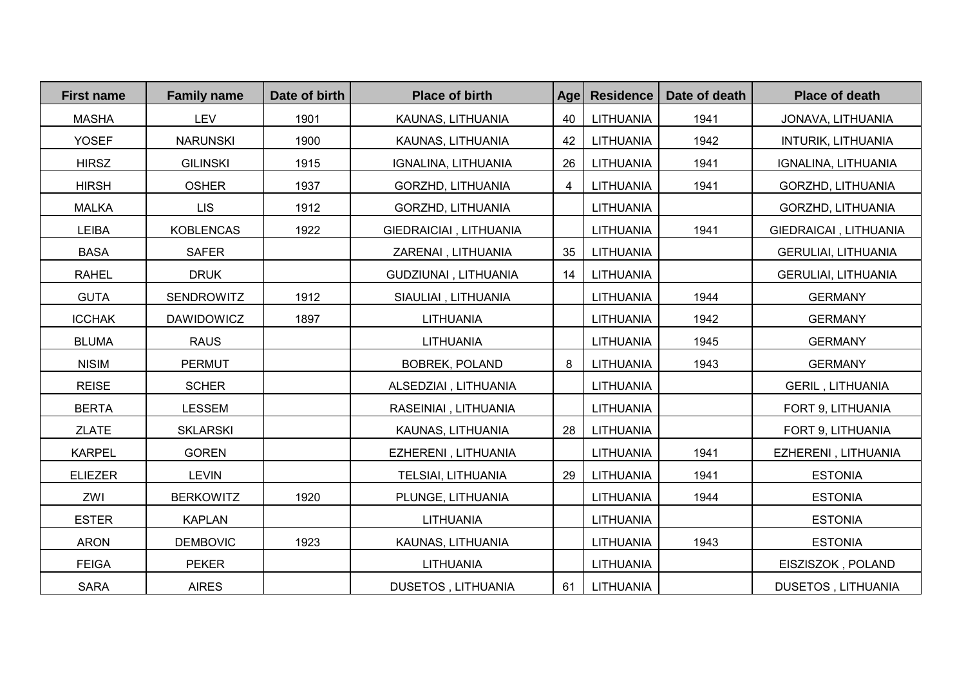| <b>First name</b> | <b>Family name</b> | Date of birth | <b>Place of birth</b>     | Age | <b>Residence</b> | Date of death | <b>Place of death</b>      |
|-------------------|--------------------|---------------|---------------------------|-----|------------------|---------------|----------------------------|
| <b>MASHA</b>      | <b>LEV</b>         | 1901          | KAUNAS, LITHUANIA         | 40  | LITHUANIA        | 1941          | JONAVA, LITHUANIA          |
| <b>YOSEF</b>      | <b>NARUNSKI</b>    | 1900          | KAUNAS, LITHUANIA         | 42  | LITHUANIA        | 1942          | <b>INTURIK, LITHUANIA</b>  |
| <b>HIRSZ</b>      | <b>GILINSKI</b>    | 1915          | IGNALINA, LITHUANIA       | 26  | LITHUANIA        | 1941          | IGNALINA, LITHUANIA        |
| <b>HIRSH</b>      | <b>OSHER</b>       | 1937          | GORZHD, LITHUANIA         | 4   | LITHUANIA        | 1941          | GORZHD, LITHUANIA          |
| <b>MALKA</b>      | <b>LIS</b>         | 1912          | GORZHD, LITHUANIA         |     | LITHUANIA        |               | GORZHD, LITHUANIA          |
| LEIBA             | <b>KOBLENCAS</b>   | 1922          | GIEDRAICIAI, LITHUANIA    |     | LITHUANIA        | 1941          | GIEDRAICAI, LITHUANIA      |
| <b>BASA</b>       | <b>SAFER</b>       |               | ZARENAI, LITHUANIA        | 35  | LITHUANIA        |               | <b>GERULIAI, LITHUANIA</b> |
| <b>RAHEL</b>      | <b>DRUK</b>        |               | GUDZIUNAI, LITHUANIA      | 14  | LITHUANIA        |               | <b>GERULIAI, LITHUANIA</b> |
| <b>GUTA</b>       | <b>SENDROWITZ</b>  | 1912          | SIAULIAI, LITHUANIA       |     | LITHUANIA        | 1944          | <b>GERMANY</b>             |
| <b>ICCHAK</b>     | <b>DAWIDOWICZ</b>  | 1897          | LITHUANIA                 |     | LITHUANIA        | 1942          | <b>GERMANY</b>             |
| <b>BLUMA</b>      | <b>RAUS</b>        |               | <b>LITHUANIA</b>          |     | LITHUANIA        | 1945          | <b>GERMANY</b>             |
| <b>NISIM</b>      | PERMUT             |               | <b>BOBREK, POLAND</b>     | 8   | LITHUANIA        | 1943          | <b>GERMANY</b>             |
| <b>REISE</b>      | <b>SCHER</b>       |               | ALSEDZIAI, LITHUANIA      |     | <b>LITHUANIA</b> |               | <b>GERIL, LITHUANIA</b>    |
| <b>BERTA</b>      | <b>LESSEM</b>      |               | RASEINIAI, LITHUANIA      |     | LITHUANIA        |               | FORT 9, LITHUANIA          |
| <b>ZLATE</b>      | <b>SKLARSKI</b>    |               | KAUNAS, LITHUANIA         | 28  | LITHUANIA        |               | FORT 9, LITHUANIA          |
| <b>KARPEL</b>     | <b>GOREN</b>       |               | EZHERENI, LITHUANIA       |     | LITHUANIA        | 1941          | EZHERENI, LITHUANIA        |
| <b>ELIEZER</b>    | <b>LEVIN</b>       |               | TELSIAI, LITHUANIA        | 29  | LITHUANIA        | 1941          | <b>ESTONIA</b>             |
| ZWI               | <b>BERKOWITZ</b>   | 1920          | PLUNGE, LITHUANIA         |     | LITHUANIA        | 1944          | <b>ESTONIA</b>             |
| <b>ESTER</b>      | <b>KAPLAN</b>      |               | <b>LITHUANIA</b>          |     | <b>LITHUANIA</b> |               | <b>ESTONIA</b>             |
| <b>ARON</b>       | <b>DEMBOVIC</b>    | 1923          | KAUNAS, LITHUANIA         |     | LITHUANIA        | 1943          | <b>ESTONIA</b>             |
| <b>FEIGA</b>      | <b>PEKER</b>       |               | LITHUANIA                 |     | <b>LITHUANIA</b> |               | EISZISZOK, POLAND          |
| <b>SARA</b>       | <b>AIRES</b>       |               | <b>DUSETOS, LITHUANIA</b> | 61  | LITHUANIA        |               | <b>DUSETOS, LITHUANIA</b>  |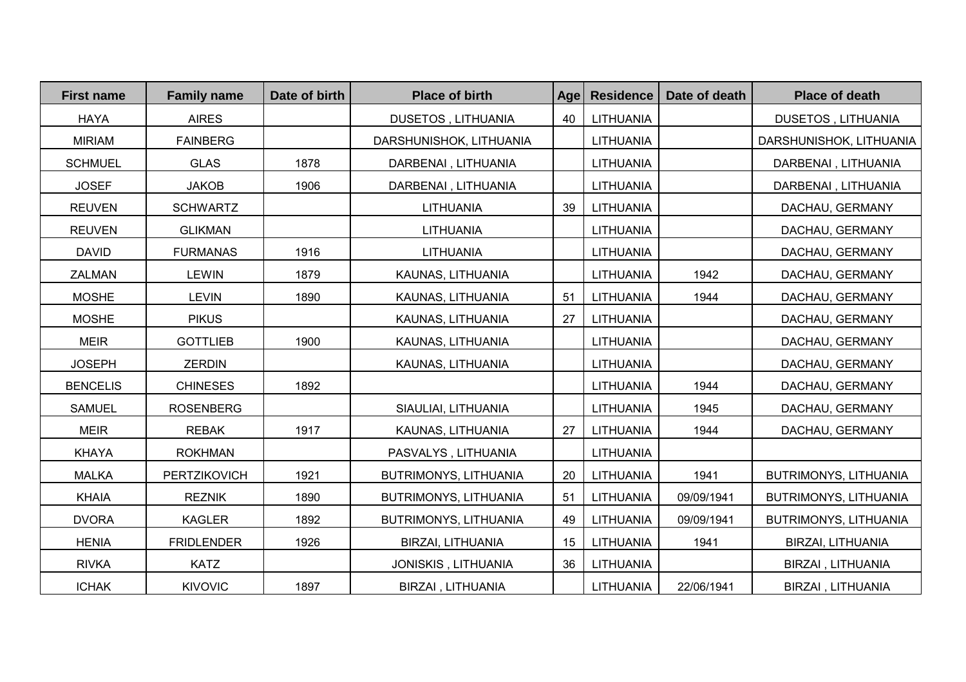| <b>First name</b> | <b>Family name</b> | Date of birth | <b>Place of birth</b>     | Age | <b>Residence</b> | Date of death | <b>Place of death</b>   |
|-------------------|--------------------|---------------|---------------------------|-----|------------------|---------------|-------------------------|
| <b>HAYA</b>       | <b>AIRES</b>       |               | <b>DUSETOS, LITHUANIA</b> | 40  | LITHUANIA        |               | DUSETOS, LITHUANIA      |
| <b>MIRIAM</b>     | <b>FAINBERG</b>    |               | DARSHUNISHOK, LITHUANIA   |     | LITHUANIA        |               | DARSHUNISHOK, LITHUANIA |
| <b>SCHMUEL</b>    | <b>GLAS</b>        | 1878          | DARBENAI, LITHUANIA       |     | LITHUANIA        |               | DARBENAI, LITHUANIA     |
| <b>JOSEF</b>      | <b>JAKOB</b>       | 1906          | DARBENAI, LITHUANIA       |     | LITHUANIA        |               | DARBENAI, LITHUANIA     |
| <b>REUVEN</b>     | <b>SCHWARTZ</b>    |               | LITHUANIA                 | 39  | LITHUANIA        |               | DACHAU, GERMANY         |
| <b>REUVEN</b>     | <b>GLIKMAN</b>     |               | LITHUANIA                 |     | <b>LITHUANIA</b> |               | DACHAU, GERMANY         |
| <b>DAVID</b>      | <b>FURMANAS</b>    | 1916          | LITHUANIA                 |     | <b>LITHUANIA</b> |               | DACHAU, GERMANY         |
| <b>ZALMAN</b>     | <b>LEWIN</b>       | 1879          | KAUNAS, LITHUANIA         |     | LITHUANIA        | 1942          | DACHAU, GERMANY         |
| <b>MOSHE</b>      | <b>LEVIN</b>       | 1890          | KAUNAS, LITHUANIA         | 51  | LITHUANIA        | 1944          | DACHAU, GERMANY         |
| <b>MOSHE</b>      | <b>PIKUS</b>       |               | KAUNAS, LITHUANIA         | 27  | LITHUANIA        |               | DACHAU, GERMANY         |
| <b>MEIR</b>       | <b>GOTTLIEB</b>    | 1900          | KAUNAS, LITHUANIA         |     | LITHUANIA        |               | DACHAU, GERMANY         |
| <b>JOSEPH</b>     | <b>ZERDIN</b>      |               | KAUNAS, LITHUANIA         |     | <b>LITHUANIA</b> |               | DACHAU, GERMANY         |
| <b>BENCELIS</b>   | <b>CHINESES</b>    | 1892          |                           |     | <b>LITHUANIA</b> | 1944          | DACHAU, GERMANY         |
| <b>SAMUEL</b>     | <b>ROSENBERG</b>   |               | SIAULIAI, LITHUANIA       |     | <b>LITHUANIA</b> | 1945          | DACHAU, GERMANY         |
| <b>MEIR</b>       | <b>REBAK</b>       | 1917          | KAUNAS, LITHUANIA         | 27  | LITHUANIA        | 1944          | DACHAU, GERMANY         |
| <b>KHAYA</b>      | <b>ROKHMAN</b>     |               | PASVALYS, LITHUANIA       |     | LITHUANIA        |               |                         |
| <b>MALKA</b>      | PERTZIKOVICH       | 1921          | BUTRIMONYS, LITHUANIA     | 20  | LITHUANIA        | 1941          | BUTRIMONYS, LITHUANIA   |
| <b>KHAIA</b>      | <b>REZNIK</b>      | 1890          | BUTRIMONYS, LITHUANIA     | 51  | LITHUANIA        | 09/09/1941    | BUTRIMONYS, LITHUANIA   |
| <b>DVORA</b>      | <b>KAGLER</b>      | 1892          | BUTRIMONYS, LITHUANIA     | 49  | LITHUANIA        | 09/09/1941    | BUTRIMONYS, LITHUANIA   |
| <b>HENIA</b>      | <b>FRIDLENDER</b>  | 1926          | BIRZAI, LITHUANIA         | 15  | LITHUANIA        | 1941          | BIRZAI, LITHUANIA       |
| <b>RIVKA</b>      | <b>KATZ</b>        |               | JONISKIS, LITHUANIA       | 36  | LITHUANIA        |               | BIRZAI, LITHUANIA       |
| <b>ICHAK</b>      | <b>KIVOVIC</b>     | 1897          | BIRZAI, LITHUANIA         |     | LITHUANIA        | 22/06/1941    | BIRZAI, LITHUANIA       |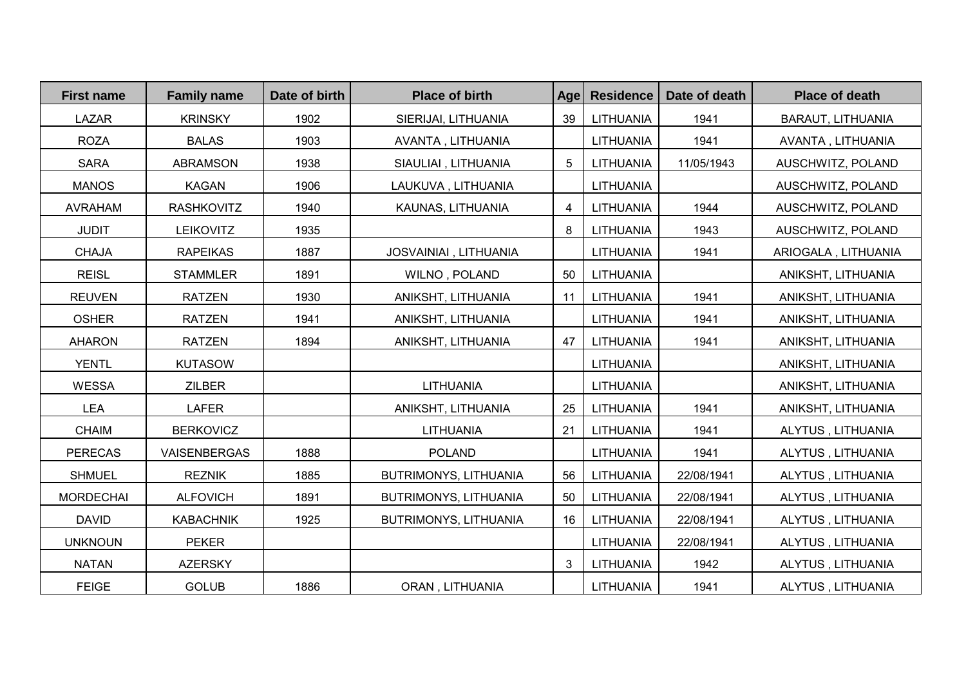| <b>First name</b> | <b>Family name</b> | Date of birth | <b>Place of birth</b> | Age | <b>Residence</b> | Date of death | <b>Place of death</b> |
|-------------------|--------------------|---------------|-----------------------|-----|------------------|---------------|-----------------------|
| <b>LAZAR</b>      | <b>KRINSKY</b>     | 1902          | SIERIJAI, LITHUANIA   | 39  | LITHUANIA        | 1941          | BARAUT, LITHUANIA     |
| <b>ROZA</b>       | <b>BALAS</b>       | 1903          | AVANTA, LITHUANIA     |     | LITHUANIA        | 1941          | AVANTA, LITHUANIA     |
| <b>SARA</b>       | <b>ABRAMSON</b>    | 1938          | SIAULIAI, LITHUANIA   | 5   | LITHUANIA        | 11/05/1943    | AUSCHWITZ, POLAND     |
| <b>MANOS</b>      | <b>KAGAN</b>       | 1906          | LAUKUVA, LITHUANIA    |     | LITHUANIA        |               | AUSCHWITZ, POLAND     |
| <b>AVRAHAM</b>    | <b>RASHKOVITZ</b>  | 1940          | KAUNAS, LITHUANIA     | 4   | LITHUANIA        | 1944          | AUSCHWITZ, POLAND     |
| <b>JUDIT</b>      | <b>LEIKOVITZ</b>   | 1935          |                       | 8   | LITHUANIA        | 1943          | AUSCHWITZ, POLAND     |
| <b>CHAJA</b>      | <b>RAPEIKAS</b>    | 1887          | JOSVAINIAI, LITHUANIA |     | LITHUANIA        | 1941          | ARIOGALA, LITHUANIA   |
| <b>REISL</b>      | <b>STAMMLER</b>    | 1891          | WILNO, POLAND         | 50  | LITHUANIA        |               | ANIKSHT, LITHUANIA    |
| <b>REUVEN</b>     | <b>RATZEN</b>      | 1930          | ANIKSHT, LITHUANIA    | 11  | LITHUANIA        | 1941          | ANIKSHT, LITHUANIA    |
| <b>OSHER</b>      | <b>RATZEN</b>      | 1941          | ANIKSHT, LITHUANIA    |     | LITHUANIA        | 1941          | ANIKSHT, LITHUANIA    |
| <b>AHARON</b>     | <b>RATZEN</b>      | 1894          | ANIKSHT, LITHUANIA    | 47  | LITHUANIA        | 1941          | ANIKSHT, LITHUANIA    |
| <b>YENTL</b>      | <b>KUTASOW</b>     |               |                       |     | LITHUANIA        |               | ANIKSHT, LITHUANIA    |
| <b>WESSA</b>      | <b>ZILBER</b>      |               | LITHUANIA             |     | LITHUANIA        |               | ANIKSHT, LITHUANIA    |
| <b>LEA</b>        | <b>LAFER</b>       |               | ANIKSHT, LITHUANIA    | 25  | LITHUANIA        | 1941          | ANIKSHT, LITHUANIA    |
| <b>CHAIM</b>      | <b>BERKOVICZ</b>   |               | <b>LITHUANIA</b>      | 21  | LITHUANIA        | 1941          | ALYTUS, LITHUANIA     |
| <b>PERECAS</b>    | VAISENBERGAS       | 1888          | <b>POLAND</b>         |     | LITHUANIA        | 1941          | ALYTUS, LITHUANIA     |
| <b>SHMUEL</b>     | <b>REZNIK</b>      | 1885          | BUTRIMONYS, LITHUANIA | 56  | LITHUANIA        | 22/08/1941    | ALYTUS, LITHUANIA     |
| <b>MORDECHAI</b>  | <b>ALFOVICH</b>    | 1891          | BUTRIMONYS, LITHUANIA | 50  | LITHUANIA        | 22/08/1941    | ALYTUS, LITHUANIA     |
| <b>DAVID</b>      | <b>KABACHNIK</b>   | 1925          | BUTRIMONYS, LITHUANIA | 16  | LITHUANIA        | 22/08/1941    | ALYTUS, LITHUANIA     |
| <b>UNKNOUN</b>    | <b>PEKER</b>       |               |                       |     | LITHUANIA        | 22/08/1941    | ALYTUS, LITHUANIA     |
| <b>NATAN</b>      | <b>AZERSKY</b>     |               |                       | 3   | LITHUANIA        | 1942          | ALYTUS, LITHUANIA     |
| <b>FEIGE</b>      | <b>GOLUB</b>       | 1886          | ORAN, LITHUANIA       |     | LITHUANIA        | 1941          | ALYTUS, LITHUANIA     |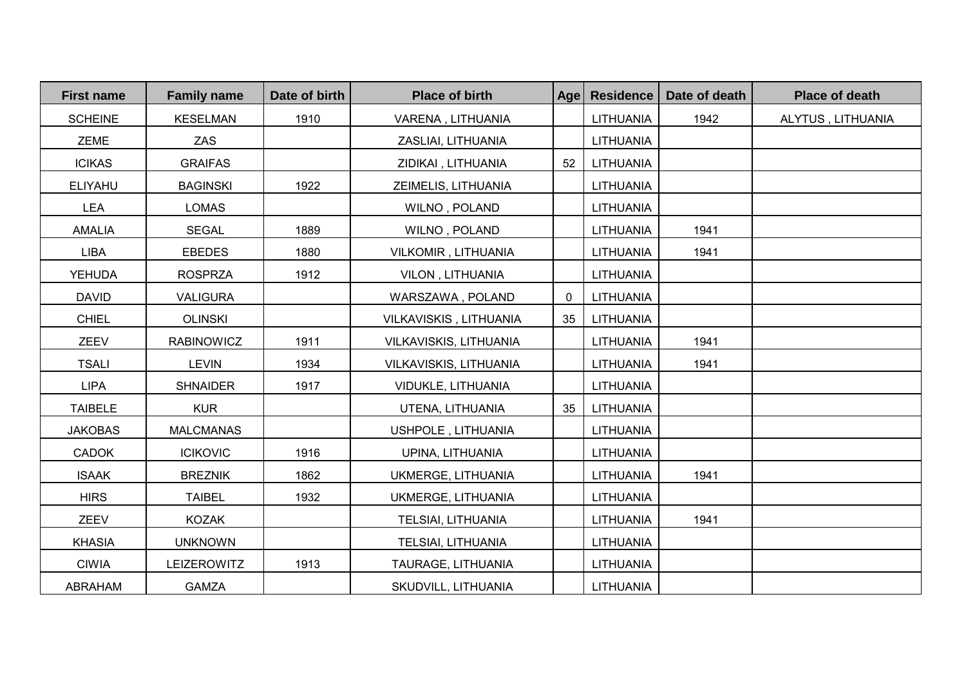| <b>First name</b> | <b>Family name</b> | Date of birth | <b>Place of birth</b>  | Age | <b>Residence</b> | Date of death | <b>Place of death</b> |
|-------------------|--------------------|---------------|------------------------|-----|------------------|---------------|-----------------------|
| <b>SCHEINE</b>    | <b>KESELMAN</b>    | 1910          | VARENA, LITHUANIA      |     | LITHUANIA        | 1942          | ALYTUS, LITHUANIA     |
| <b>ZEME</b>       | <b>ZAS</b>         |               | ZASLIAI, LITHUANIA     |     | LITHUANIA        |               |                       |
| <b>ICIKAS</b>     | <b>GRAIFAS</b>     |               | ZIDIKAI, LITHUANIA     | 52  | LITHUANIA        |               |                       |
| <b>ELIYAHU</b>    | <b>BAGINSKI</b>    | 1922          | ZEIMELIS, LITHUANIA    |     | <b>LITHUANIA</b> |               |                       |
| <b>LEA</b>        | <b>LOMAS</b>       |               | WILNO, POLAND          |     | LITHUANIA        |               |                       |
| <b>AMALIA</b>     | <b>SEGAL</b>       | 1889          | WILNO, POLAND          |     | <b>LITHUANIA</b> | 1941          |                       |
| LIBA              | <b>EBEDES</b>      | 1880          | VILKOMIR, LITHUANIA    |     | LITHUANIA        | 1941          |                       |
| <b>YEHUDA</b>     | <b>ROSPRZA</b>     | 1912          | VILON, LITHUANIA       |     | <b>LITHUANIA</b> |               |                       |
| <b>DAVID</b>      | <b>VALIGURA</b>    |               | WARSZAWA, POLAND       | 0   | LITHUANIA        |               |                       |
| <b>CHIEL</b>      | <b>OLINSKI</b>     |               | VILKAVISKIS, LITHUANIA | 35  | LITHUANIA        |               |                       |
| ZEEV              | <b>RABINOWICZ</b>  | 1911          | VILKAVISKIS, LITHUANIA |     | LITHUANIA        | 1941          |                       |
| <b>TSALI</b>      | <b>LEVIN</b>       | 1934          | VILKAVISKIS, LITHUANIA |     | <b>LITHUANIA</b> | 1941          |                       |
| <b>LIPA</b>       | <b>SHNAIDER</b>    | 1917          | VIDUKLE, LITHUANIA     |     | <b>LITHUANIA</b> |               |                       |
| <b>TAIBELE</b>    | <b>KUR</b>         |               | UTENA, LITHUANIA       | 35  | LITHUANIA        |               |                       |
| <b>JAKOBAS</b>    | <b>MALCMANAS</b>   |               | USHPOLE, LITHUANIA     |     | <b>LITHUANIA</b> |               |                       |
| <b>CADOK</b>      | <b>ICIKOVIC</b>    | 1916          | UPINA, LITHUANIA       |     | <b>LITHUANIA</b> |               |                       |
| <b>ISAAK</b>      | <b>BREZNIK</b>     | 1862          | UKMERGE, LITHUANIA     |     | <b>LITHUANIA</b> | 1941          |                       |
| <b>HIRS</b>       | <b>TAIBEL</b>      | 1932          | UKMERGE, LITHUANIA     |     | LITHUANIA        |               |                       |
| ZEEV              | <b>KOZAK</b>       |               | TELSIAI, LITHUANIA     |     | LITHUANIA        | 1941          |                       |
| <b>KHASIA</b>     | <b>UNKNOWN</b>     |               | TELSIAI, LITHUANIA     |     | <b>LITHUANIA</b> |               |                       |
| <b>CIWIA</b>      | LEIZEROWITZ        | 1913          | TAURAGE, LITHUANIA     |     | <b>LITHUANIA</b> |               |                       |
| ABRAHAM           | <b>GAMZA</b>       |               | SKUDVILL, LITHUANIA    |     | <b>LITHUANIA</b> |               |                       |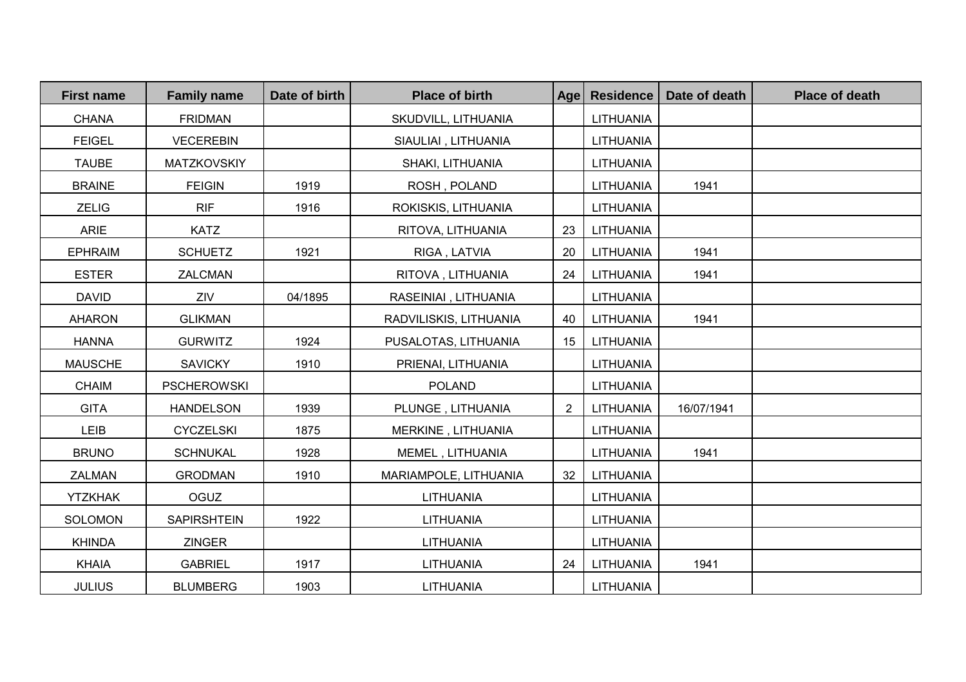| <b>First name</b> | <b>Family name</b> | Date of birth | <b>Place of birth</b>  | Age            | <b>Residence</b> | Date of death | <b>Place of death</b> |
|-------------------|--------------------|---------------|------------------------|----------------|------------------|---------------|-----------------------|
| <b>CHANA</b>      | <b>FRIDMAN</b>     |               | SKUDVILL, LITHUANIA    |                | LITHUANIA        |               |                       |
| <b>FEIGEL</b>     | <b>VECEREBIN</b>   |               | SIAULIAI, LITHUANIA    |                | <b>LITHUANIA</b> |               |                       |
| <b>TAUBE</b>      | <b>MATZKOVSKIY</b> |               | SHAKI, LITHUANIA       |                | <b>LITHUANIA</b> |               |                       |
| <b>BRAINE</b>     | <b>FEIGIN</b>      | 1919          | ROSH, POLAND           |                | LITHUANIA        | 1941          |                       |
| <b>ZELIG</b>      | <b>RIF</b>         | 1916          | ROKISKIS, LITHUANIA    |                | LITHUANIA        |               |                       |
| <b>ARIE</b>       | <b>KATZ</b>        |               | RITOVA, LITHUANIA      | 23             | LITHUANIA        |               |                       |
| <b>EPHRAIM</b>    | <b>SCHUETZ</b>     | 1921          | RIGA, LATVIA           | 20             | LITHUANIA        | 1941          |                       |
| <b>ESTER</b>      | ZALCMAN            |               | RITOVA, LITHUANIA      | 24             | LITHUANIA        | 1941          |                       |
| <b>DAVID</b>      | ZIV                | 04/1895       | RASEINIAI, LITHUANIA   |                | LITHUANIA        |               |                       |
| <b>AHARON</b>     | <b>GLIKMAN</b>     |               | RADVILISKIS, LITHUANIA | 40             | LITHUANIA        | 1941          |                       |
| <b>HANNA</b>      | <b>GURWITZ</b>     | 1924          | PUSALOTAS, LITHUANIA   | 15             | LITHUANIA        |               |                       |
| <b>MAUSCHE</b>    | <b>SAVICKY</b>     | 1910          | PRIENAI, LITHUANIA     |                | LITHUANIA        |               |                       |
| <b>CHAIM</b>      | <b>PSCHEROWSKI</b> |               | <b>POLAND</b>          |                | LITHUANIA        |               |                       |
| <b>GITA</b>       | <b>HANDELSON</b>   | 1939          | PLUNGE, LITHUANIA      | $\overline{2}$ | LITHUANIA        | 16/07/1941    |                       |
| LEIB              | <b>CYCZELSKI</b>   | 1875          | MERKINE, LITHUANIA     |                | <b>LITHUANIA</b> |               |                       |
| <b>BRUNO</b>      | <b>SCHNUKAL</b>    | 1928          | MEMEL, LITHUANIA       |                | <b>LITHUANIA</b> | 1941          |                       |
| ZALMAN            | <b>GRODMAN</b>     | 1910          | MARIAMPOLE, LITHUANIA  | 32             | LITHUANIA        |               |                       |
| <b>YTZKHAK</b>    | <b>OGUZ</b>        |               | LITHUANIA              |                | <b>LITHUANIA</b> |               |                       |
| <b>SOLOMON</b>    | <b>SAPIRSHTEIN</b> | 1922          | LITHUANIA              |                | <b>LITHUANIA</b> |               |                       |
| <b>KHINDA</b>     | <b>ZINGER</b>      |               | LITHUANIA              |                | <b>LITHUANIA</b> |               |                       |
| <b>KHAIA</b>      | <b>GABRIEL</b>     | 1917          | LITHUANIA              | 24             | LITHUANIA        | 1941          |                       |
| <b>JULIUS</b>     | <b>BLUMBERG</b>    | 1903          | LITHUANIA              |                | <b>LITHUANIA</b> |               |                       |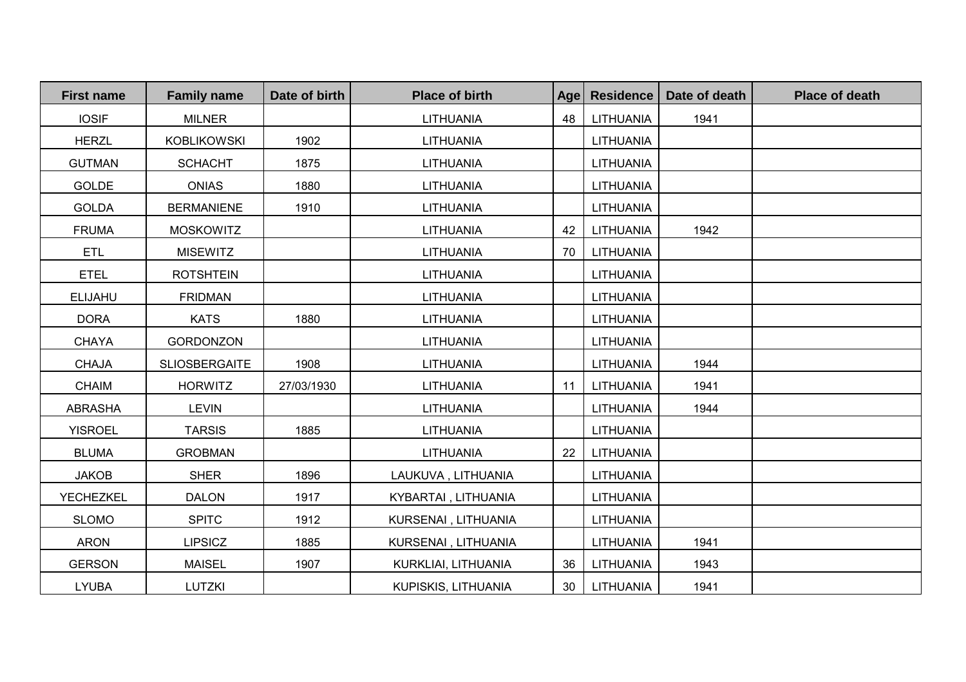| <b>First name</b> | <b>Family name</b>   | Date of birth | <b>Place of birth</b> | Age | <b>Residence</b> | Date of death | <b>Place of death</b> |
|-------------------|----------------------|---------------|-----------------------|-----|------------------|---------------|-----------------------|
| <b>IOSIF</b>      | <b>MILNER</b>        |               | LITHUANIA             | 48  | LITHUANIA        | 1941          |                       |
| <b>HERZL</b>      | <b>KOBLIKOWSKI</b>   | 1902          | LITHUANIA             |     | <b>LITHUANIA</b> |               |                       |
| <b>GUTMAN</b>     | <b>SCHACHT</b>       | 1875          | LITHUANIA             |     | LITHUANIA        |               |                       |
| <b>GOLDE</b>      | <b>ONIAS</b>         | 1880          | LITHUANIA             |     | <b>LITHUANIA</b> |               |                       |
| <b>GOLDA</b>      | <b>BERMANIENE</b>    | 1910          | LITHUANIA             |     | LITHUANIA        |               |                       |
| <b>FRUMA</b>      | <b>MOSKOWITZ</b>     |               | LITHUANIA             | 42  | LITHUANIA        | 1942          |                       |
| <b>ETL</b>        | <b>MISEWITZ</b>      |               | LITHUANIA             | 70  | LITHUANIA        |               |                       |
| <b>ETEL</b>       | <b>ROTSHTEIN</b>     |               | LITHUANIA             |     | <b>LITHUANIA</b> |               |                       |
| <b>ELIJAHU</b>    | <b>FRIDMAN</b>       |               | LITHUANIA             |     | <b>LITHUANIA</b> |               |                       |
| <b>DORA</b>       | <b>KATS</b>          | 1880          | LITHUANIA             |     | <b>LITHUANIA</b> |               |                       |
| <b>CHAYA</b>      | <b>GORDONZON</b>     |               | LITHUANIA             |     | <b>LITHUANIA</b> |               |                       |
| <b>CHAJA</b>      | <b>SLIOSBERGAITE</b> | 1908          | LITHUANIA             |     | <b>LITHUANIA</b> | 1944          |                       |
| <b>CHAIM</b>      | <b>HORWITZ</b>       | 27/03/1930    | LITHUANIA             | 11  | LITHUANIA        | 1941          |                       |
| <b>ABRASHA</b>    | <b>LEVIN</b>         |               | LITHUANIA             |     | LITHUANIA        | 1944          |                       |
| <b>YISROEL</b>    | <b>TARSIS</b>        | 1885          | LITHUANIA             |     | <b>LITHUANIA</b> |               |                       |
| <b>BLUMA</b>      | <b>GROBMAN</b>       |               | LITHUANIA             | 22  | LITHUANIA        |               |                       |
| <b>JAKOB</b>      | <b>SHER</b>          | 1896          | LAUKUVA, LITHUANIA    |     | <b>LITHUANIA</b> |               |                       |
| <b>YECHEZKEL</b>  | <b>DALON</b>         | 1917          | KYBARTAI, LITHUANIA   |     | <b>LITHUANIA</b> |               |                       |
| <b>SLOMO</b>      | <b>SPITC</b>         | 1912          | KURSENAI, LITHUANIA   |     | <b>LITHUANIA</b> |               |                       |
| <b>ARON</b>       | <b>LIPSICZ</b>       | 1885          | KURSENAI, LITHUANIA   |     | <b>LITHUANIA</b> | 1941          |                       |
| <b>GERSON</b>     | <b>MAISEL</b>        | 1907          | KURKLIAI, LITHUANIA   | 36  | LITHUANIA        | 1943          |                       |
| <b>LYUBA</b>      | LUTZKI               |               | KUPISKIS, LITHUANIA   | 30  | LITHUANIA        | 1941          |                       |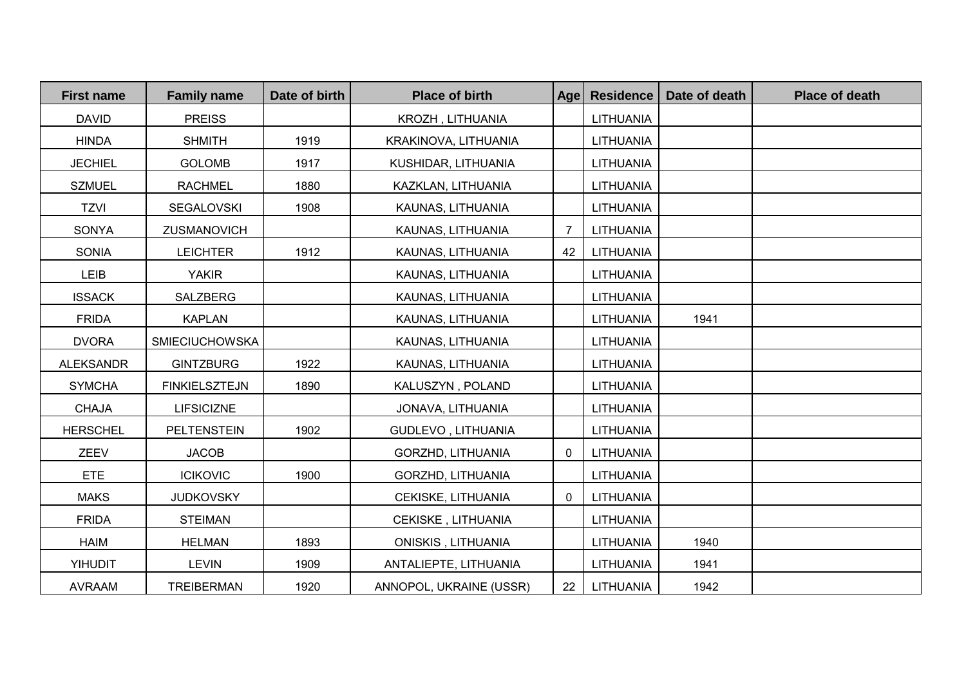| <b>First name</b> | <b>Family name</b>    | Date of birth | <b>Place of birth</b>     | Age            | <b>Residence</b> | Date of death | <b>Place of death</b> |
|-------------------|-----------------------|---------------|---------------------------|----------------|------------------|---------------|-----------------------|
| <b>DAVID</b>      | <b>PREISS</b>         |               | KROZH, LITHUANIA          |                | LITHUANIA        |               |                       |
| <b>HINDA</b>      | <b>SHMITH</b>         | 1919          | KRAKINOVA, LITHUANIA      |                | LITHUANIA        |               |                       |
| <b>JECHIEL</b>    | <b>GOLOMB</b>         | 1917          | KUSHIDAR, LITHUANIA       |                | <b>LITHUANIA</b> |               |                       |
| <b>SZMUEL</b>     | <b>RACHMEL</b>        | 1880          | KAZKLAN, LITHUANIA        |                | <b>LITHUANIA</b> |               |                       |
| <b>TZVI</b>       | <b>SEGALOVSKI</b>     | 1908          | KAUNAS, LITHUANIA         |                | LITHUANIA        |               |                       |
| <b>SONYA</b>      | ZUSMANOVICH           |               | KAUNAS, LITHUANIA         | $\overline{7}$ | LITHUANIA        |               |                       |
| <b>SONIA</b>      | <b>LEICHTER</b>       | 1912          | KAUNAS, LITHUANIA         | 42             | LITHUANIA        |               |                       |
| LEIB              | <b>YAKIR</b>          |               | KAUNAS, LITHUANIA         |                | <b>LITHUANIA</b> |               |                       |
| <b>ISSACK</b>     | SALZBERG              |               | KAUNAS, LITHUANIA         |                | LITHUANIA        |               |                       |
| <b>FRIDA</b>      | <b>KAPLAN</b>         |               | KAUNAS, LITHUANIA         |                | LITHUANIA        | 1941          |                       |
| <b>DVORA</b>      | <b>SMIECIUCHOWSKA</b> |               | KAUNAS, LITHUANIA         |                | <b>LITHUANIA</b> |               |                       |
| <b>ALEKSANDR</b>  | <b>GINTZBURG</b>      | 1922          | KAUNAS, LITHUANIA         |                | <b>LITHUANIA</b> |               |                       |
| <b>SYMCHA</b>     | <b>FINKIELSZTEJN</b>  | 1890          | KALUSZYN, POLAND          |                | LITHUANIA        |               |                       |
| <b>CHAJA</b>      | <b>LIFSICIZNE</b>     |               | JONAVA, LITHUANIA         |                | LITHUANIA        |               |                       |
| <b>HERSCHEL</b>   | <b>PELTENSTEIN</b>    | 1902          | GUDLEVO, LITHUANIA        |                | <b>LITHUANIA</b> |               |                       |
| ZEEV              | <b>JACOB</b>          |               | GORZHD, LITHUANIA         | $\mathbf{0}$   | LITHUANIA        |               |                       |
| <b>ETE</b>        | <b>ICIKOVIC</b>       | 1900          | GORZHD, LITHUANIA         |                | <b>LITHUANIA</b> |               |                       |
| <b>MAKS</b>       | <b>JUDKOVSKY</b>      |               | CEKISKE, LITHUANIA        | 0              | LITHUANIA        |               |                       |
| <b>FRIDA</b>      | <b>STEIMAN</b>        |               | CEKISKE, LITHUANIA        |                | <b>LITHUANIA</b> |               |                       |
| <b>HAIM</b>       | <b>HELMAN</b>         | 1893          | <b>ONISKIS, LITHUANIA</b> |                | <b>LITHUANIA</b> | 1940          |                       |
| <b>YIHUDIT</b>    | <b>LEVIN</b>          | 1909          | ANTALIEPTE, LITHUANIA     |                | LITHUANIA        | 1941          |                       |
| <b>AVRAAM</b>     | <b>TREIBERMAN</b>     | 1920          | ANNOPOL, UKRAINE (USSR)   | 22             | LITHUANIA        | 1942          |                       |